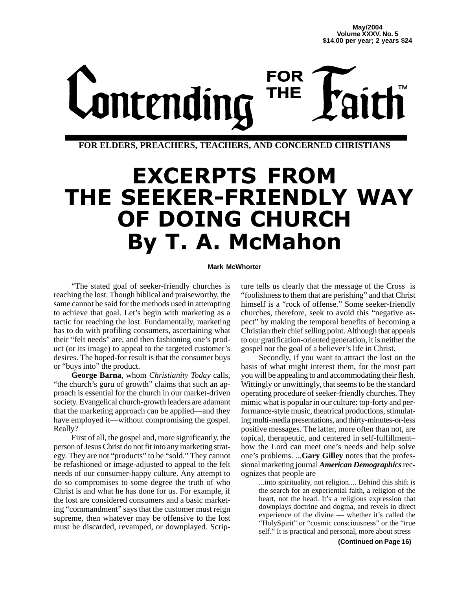# **FOR** Lontending **THE**

**FOR ELDERS, PREACHERS, TEACHERS, AND CONCERNED CHRISTIANS**

## EXCERPTS FROM **THE SEEKER-FRIENDLY WAY** OF DOING CHURCH **By T. A. McMahon**

## **Mark McWhorter**

"The stated goal of seeker-friendly churches is reaching the lost. Though biblical and praiseworthy, the same cannot be said for the methods used in attempting to achieve that goal. Let's begin with marketing as a tactic for reaching the lost. Fundamentally, marketing has to do with profiling consumers, ascertaining what their "felt needs" are, and then fashioning one's product (or its image) to appeal to the targeted customer's desires. The hoped-for result is that the consumer buys or "buys into" the product.

**George Barna**, whom *Christianity Today* calls, "the church's guru of growth" claims that such an approach is essential for the church in our market-driven society. Evangelical church-growth leaders are adamant that the marketing approach can be applied—and they have employed it—without compromising the gospel. Really?

First of all, the gospel and, more significantly, the person of Jesus Christ do not fit into any marketing strategy. They are not "products" to be "sold." They cannot be refashioned or image-adjusted to appeal to the felt needs of our consumer-happy culture. Any attempt to do so compromises to some degree the truth of who Christ is and what he has done for us. For example, if the lost are considered consumers and a basic marketing "commandment" says that the customer must reign supreme, then whatever may be offensive to the lost must be discarded, revamped, or downplayed. Scrip-

ture tells us clearly that the message of the Cross is "foolishness to them that are perishing" and that Christ himself is a "rock of offense." Some seeker-friendly churches, therefore, seek to avoid this "negative aspect" by making the temporal benefits of becoming a Christian their chief selling point. Although that appeals to our gratification-oriented generation, it is neither the gospel nor the goal of a believer's life in Christ.

Secondly, if you want to attract the lost on the basis of what might interest them, for the most part you will be appealing to and accommodating their flesh. Wittingly or unwittingly, that seems to be the standard operating procedure of seeker-friendly churches. They mimic what is popular in our culture: top-forty and performance-style music, theatrical productions, stimulating multi-media presentations, and thirty-minutes-or-less positive messages. The latter, more often than not, are topical, therapeutic, and centered in self-fulfillment– how the Lord can meet one's needs and help solve one's problems. ...**Gary Gilley** notes that the professional marketing journal *American Demographics*recognizes that people are

...into spirituality, not religion.... Behind this shift is the search for an experiential faith, a religion of the heart, not the head. It's a religious expression that downplays doctrine and dogma, and revels in direct experience of the divine — whether it's called the "HolySpirit" or "cosmic consciousness" or the "true self." It is practical and personal, more about stress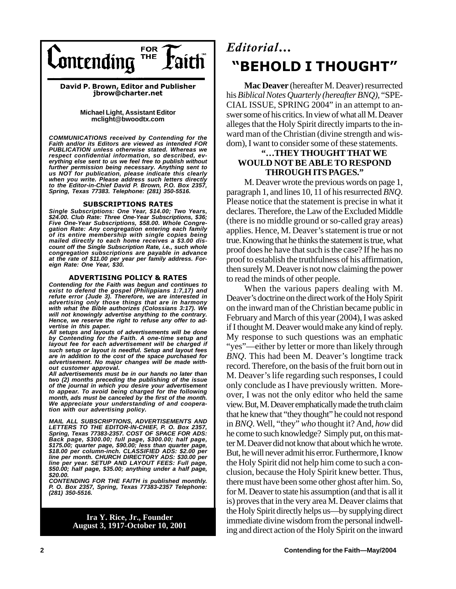

David P. Brown, Editor and Publisher jbrow@charter.net

## **Michael Light, Assistant Editor mclight@bwoodtx.com**

*COMMUNICATIONS received by Contending for the Faith and/or its Editors are viewed as intended FOR PUBLICATION unless otherwise stated. Whereas we respect confidential information, so described, ev-erything else sent to us we feel free to publish without further permission being necessary. Anything sent to us NOT for publication, please indicate this clearly when you write. Please address such letters directly to the Editor-in-Chief David P. Brown, P.O. Box 2357, Spring, Texas 77383. Telephone: (281) 350-5516.*

## SUBSCRIPTIONS RATES

*Single Subscriptions: One Year, \$14.00; Two Years, \$24.00. Club Rate: Three One-Year Subscriptions, \$36; Five One-Year Subscriptions, \$58.00. Whole Congregation Rate: Any congregation entering each family of its entire membership with single copies being mailed directly to each home receives a \$3.00 discount off the Single Subscription Rate, i.e., such whole congregation subscriptions are payable in advance at the rate of \$11.00 per year per family address. Foreign Rate: One Year, \$30.*

## ADVERTISING POLICY & RATES

*Contending for the Faith was begun and continues to exist to defend the gospel (Philippians 1:7,17) and refute error (Jude 3). Therefore, we are interested in advertising only those things that are in harmony with what the Bible authorizes (Colossians 3:17). We will not knowingly advertise anything to the contrary. Hence, we reserve the right to refuse any offer to advertise in this paper.*

*All setups and layouts of advertisements will be done by Contending for the Faith. A one-time setup and layout fee for each advertisement will be charged if such setup or layout is needful. Setup and layout fees are in addition to the cost of the space purchased for advertisement. No major changes will be made without customer approval.*

*All advertisements must be in our hands no later than two (2) months preceding the publishing of the issue of the journal in which you desire your advertisement to appear. To avoid being charged for the following month, ads must be canceled by the first of the month. We appreciate your understanding of and cooperation with our advertising policy.*

*MAIL ALL SUBSCRIPTIONS, ADVERTISEMENTS AND LETTERS TO THE EDITOR-IN-CHIEF, P. O. Box 2357, Spring, Texas 77383-2357. COST OF SPACE FOR ADS: Back page, \$300.00; full page, \$300.00; half page, \$175.00; quarter page, \$90.00; less than quarter page, \$18.00 per column-inch. CLASSIFIED ADS: \$2.00 per line per month. CHURCH DIRECTORY ADS: \$30.00 per line per year. SETUP AND LAYOUT FEES: Full page, \$50.00; half page, \$35.00; anything under a half page, \$20.00.*

*CONTENDING FOR THE FAITH is published monthly. P. O. Box 2357, Spring, Texas 77383-2357 Telephone: (281) 350-5516.*

## **Ira Y. Rice, Jr., Founder August 3, 1917-October 10, 2001**

## Editorial... "BEHOLD I THOUGHT"

**Mac Deaver** (hereafter M. Deaver) resurrected his*Biblical Notes Quarterly (hereafter BNQ),* "SPE-CIAL ISSUE, SPRING 2004" in an attempt to answer some of his critics. In view of what all M. Deaver alleges that the Holy Spirit directly imparts to the inward man of the Christian (divine strength and wisdom), I want to consider some of these statements.

## **"…THEY THOUGHT THAT WE WOULD NOT BE ABLE TO RESPOND THROUGH ITS PAGES."**

M. Deaver wrote the previous words on page 1, paragraph 1, and lines 10, 11 of his resurrected *BNQ*. Please notice that the statement is precise in what it declares. Therefore, the Law of the Excluded Middle (there is no middle ground or so-called gray areas) applies. Hence, M. Deaver's statement is true or not true. Knowing that he thinks the statement is true, what proof does he have that such is the case? If he has no proof to establish the truthfulness of his affirmation, then surely M. Deaver is not now claiming the power to read the minds of other people.

When the various papers dealing with M. Deaver's doctrine on the direct work of the Holy Spirit on the inward man of the Christian became public in February and March of this year (2004), I was asked if I thought M. Deaver would make any kind of reply. My response to such questions was an emphatic "yes"—either by letter or more than likely through *BNQ*. This had been M. Deaver's longtime track record. Therefore, on the basis of the fruit born out in M. Deaver's life regarding such responses, I could only conclude as I have previously written. Moreover, I was not the only editor who held the same view. But, M. Deaver emphatically made the truth claim that he knew that "they thought" he could not respond in *BNQ*. Well, "they" *who* thought it? And, *how* did he come to such knowledge? Simply put, on this matter M. Deaver did not know that about which he wrote. But, he will never admit his error. Furthermore, I know the Holy Spirit did not help him come to such a conclusion, because the Holy Spirit knew better. Thus, there must have been some other ghost after him. So, for M. Deaver to state his assumption (and that is all it is) proves that in the very area M. Deaver claims that the Holy Spirit directly helps us—by supplying direct immediate divine wisdom from the personal indwelling and direct action of the Holy Spirit on the inward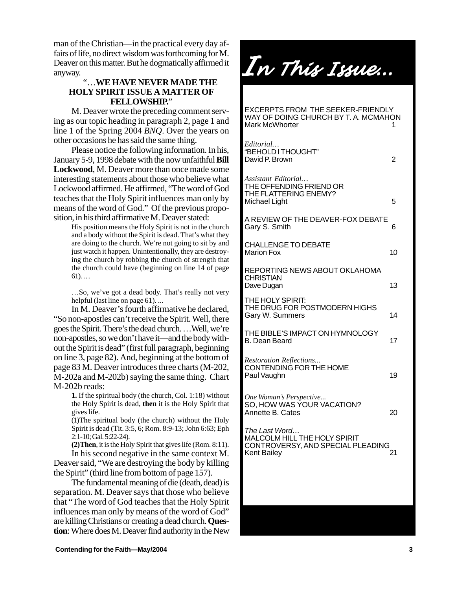man of the Christian—in the practical every day affairs of life, no direct wisdom was forthcoming for M. Deaver on this matter. But he dogmatically affirmed it anyway.

## "…**WE HAVE NEVER MADE THE HOLY SPIRIT ISSUE A MATTER OF FELLOWSHIP.**"

M. Deaver wrote the preceding comment serving as our topic heading in paragraph 2, page 1 and line 1 of the Spring 2004 *BNQ*. Over the years on other occasions he has said the same thing.

Please notice the following information. In his, January 5-9, 1998 debate with the now unfaithful **Bill Lockwood**, M. Deaver more than once made some interesting statements about those who believe what Lockwood affirmed. He affirmed, "The word of God teaches that the Holy Spirit influences man only by means of the word of God." Of the previous proposition, in his third affirmative M. Deaver stated:

His position means the Holy Spirit is not in the church and a body without the Spirit is dead. That's what they are doing to the church. We're not going to sit by and just watch it happen. Unintentionally, they are destroying the church by robbing the church of strength that the church could have (beginning on line 14 of page  $61)$ ...

…So, we've got a dead body. That's really not very helpful (last line on page 61)....

In M. Deaver's fourth affirmative he declared, "So non-apostles can't receive the Spirit. Well, there goes the Spirit. There's the dead church. …Well, we're non-apostles, so we don't have it—and the body without the Spirit is dead" (first full paragraph, beginning on line 3, page 82). And, beginning at the bottom of page 83 M. Deaver introduces three charts (M-202, M-202a and M-202b) saying the same thing. Chart M-202b reads:

> **1.** If the spiritual body (the church, Col. 1:18) without the Holy Spirit is dead, **then** it is the Holy Spirit that gives life.

> (1)The spiritual body (the church) without the Holy Spirit is dead (Tit. 3:5, 6; Rom. 8:9-13; John 6:63; Eph 2:1-10; Gal. 5:22-24).

**(2)Then**, it is the Holy Spirit that gives life (Rom. 8:11). In his second negative in the same context M.

Deaver said, "We are destroying the body by killing the Spirit" (third line from bottom of page 157).

The fundamental meaning of die (death, dead) is separation. M. Deaver says that those who believe that "The word of God teaches that the Holy Spirit influences man only by means of the word of God" are killing Christians or creating a dead church. **Question**: Where does M. Deaver find authority in the New

In This Issue ...

EXCERPTS FROM THE SEEKER-FRIENDLY WAY OF DOING CHURCH BY T. A. MCMAHON Mark McWhorter *Editorial…* "BEHOLD I THOUGHT" David P. Brown 2 *Assistant Editorial…* THE OFFENDING FRIEND OR THE FLATTERING ENEMY? Michael Light 5 A REVIEW OF THE DEAVER-FOX DEBATE Gary S. Smith 6 CHALLENGE TO DEBATE Marion Fox 10 REPORTING NEWS ABOUT OKLAHOMA **CHRISTIAN** Dave Dugan 13 THE HOLY SPIRIT: THE DRUG FOR POSTMODERN HIGHS Gary W. Summers 14 THE BIBLE'S IMPACT ON HYMNOLOGY B. Dean Beard 17 *Restoration Reflections...* CONTENDING FOR THE HOME Paul Vaughn 19 *One Woman's Perspective...* SO, HOW WAS YOUR VACATION? Annette B. Cates 20 *The Last Word…* MALCOLM HILL THE HOLY SPIRIT CONTROVERSY, AND SPECIAL PLEADING **Kent Bailey** 

**Contending for the Faith—May/2004 3**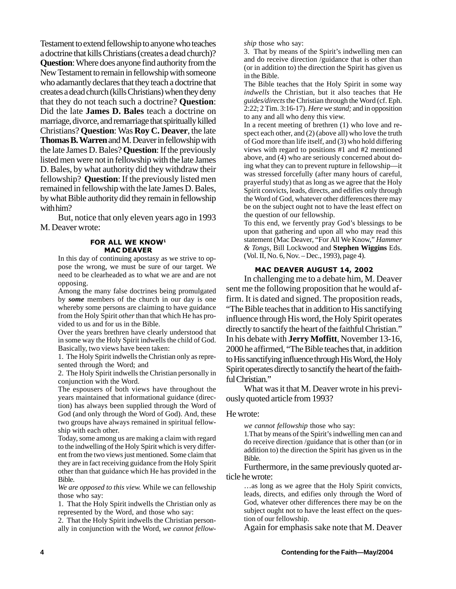Testament to extend fellowship to anyone who teaches a doctrine that kills Christians (creates a dead church)? **Question**: Where does anyone find authority from the New Testament to remain in fellowship with someone who adamantly declares that they teach a doctrine that creates a dead church (kills Christians) when they deny that they do not teach such a doctrine? **Question**: Did the late **James D. Bales** teach a doctrine on marriage, divorce, and remarriage that spiritually killed Christians? **Question**: Was **Roy C. Deaver**, the late **Thomas B. Warren** and M. Deaver in fellowship with the late James D. Bales? **Question**: If the previously listed men were not in fellowship with the late James D. Bales, by what authority did they withdraw their fellowship? **Question**: If the previously listed men remained in fellowship with the late James D. Bales, by what Bible authority did they remain in fellowship with him?

But, notice that only eleven years ago in 1993 M. Deaver wrote:

## FOR ALL WE KNOW<sup>1</sup> **MAC DEAVER**

In this day of continuing apostasy as we strive to oppose the wrong, we must be sure of our target. We need to be clearheaded as to what we are and are not opposing.

Among the many false doctrines being promulgated by *some* members of the church in our day is one whereby some persons are claiming to have guidance from the Holy Spirit *other* than that which He has provided to us and for us in the Bible.

Over the years brethren have clearly understood that in some way the Holy Spirit indwells the child of God. Basically, two views have been taken:

1. The Holy Spirit indwells the Christian only as represented through the Word; and

2. The Holy Spirit indwells the Christian personally in conjunction with the Word.

The espousers of both views have throughout the years maintained that informational guidance (direction) has always been supplied through the Word of God (and only through the Word of God). And, these two groups have always remained in spiritual fellowship with each other.

Today, some among us are making a claim with regard to the indwelling of the Holy Spirit which is very different from the two views just mentioned. Some claim that they are in fact receiving guidance from the Holy Spirit other than that guidance which He has provided in the Bible.

*We are opposed to this view.* While we can fellowship those who say:

1. That the Holy Spirit indwells the Christian only as represented by the Word, and those who say:

2. That the Holy Spirit indwells the Christian personally in conjunction with the Word, *we cannot fellow-* *ship* those who say:

3. That by means of the Spirit's indwelling men can and do receive direction /guidance that is other than (or in addition to) the direction the Spirit has given us in the Bible.

The Bible teaches that the Holy Spirit in some way *indwells* the Christian, but it also teaches that He *guides/directs* the Christian through the Word (cf. Eph. 2:22; 2 Tim. 3:16-17). *Here we stand;* and in opposition to any and all who deny this view.

In a recent meeting of brethren (1) who love and respect each other, and (2) (above all) who love the truth of God more than life itself, and (3) who hold differing views with regard to positions #1 and #2 mentioned above, and (4) who are seriously concerned about doing what they can to prevent rupture in fellowship—it was stressed forcefully (after many hours of careful, prayerful study) that as long as we agree that the Holy Spirit convicts, leads, directs, and edifies only through the Word of God, whatever other differences there may be on the subject ought not to have the least effect on the question of our fellowship.

To this end, we fervently pray God's blessings to be upon that gathering and upon all who may read this statement (Mac Deaver, "For All We Know," *Hammer & Tongs,* Bill Lockwood and **Stephen Wiggins** Eds. (Vol. II, No. 6, Nov. – Dec., 1993), page 4).

## MAC DEAVER AUGUST 14, 2002

In challenging me to a debate him, M. Deaver sent me the following proposition that he would affirm. It is dated and signed. The proposition reads, "The Bible teaches that in addition to His sanctifying influence through His word, the Holy Spirit operates directly to sanctify the heart of the faithful Christian." In his debate with **Jerry Moffitt**, November 13-16, 2000 he affirmed, "The Bible teaches that, in addition to His sanctifying influence through His Word, the Holy Spirit operates directly to sanctify the heart of the faithful Christian."

What was it that M. Deaver wrote in his previously quoted article from 1993?

## He wrote:

*we cannot fellowship* those who say:

1.That by means of the Spirit's indwelling men can and do receive direction /guidance that is other than (or in addition to) the direction the Spirit has given us in the Bible.

Furthermore, in the same previously quoted article he wrote:

…as long as we agree that the Holy Spirit convicts, leads, directs, and edifies only through the Word of God, whatever other differences there may be on the subject ought not to have the least effect on the question of our fellowship.

Again for emphasis sake note that M. Deaver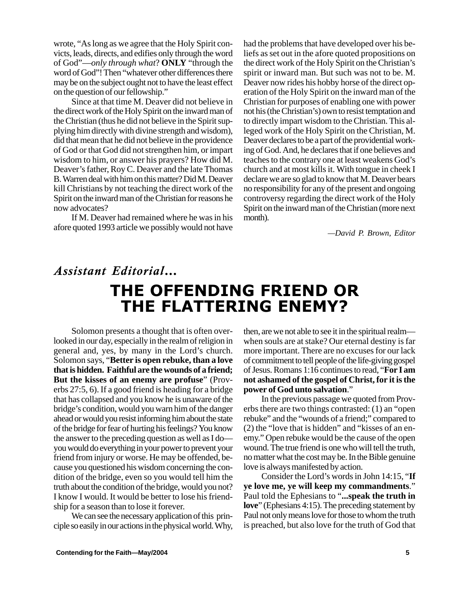wrote, "As long as we agree that the Holy Spirit convicts, leads, directs, and edifies only through the word of God"—*only through what*? **ONLY** "through the word of God"! Then "whatever other differences there may be on the subject ought not to have the least effect on the question of our fellowship."

Since at that time M. Deaver did not believe in the direct work of the Holy Spirit on the inward man of the Christian (thus he did not believe in the Spirit supplying him directly with divine strength and wisdom), did that mean that he did not believe in the providence of God or that God did not strengthen him, or impart wisdom to him, or answer his prayers? How did M. Deaver's father, Roy C. Deaver and the late Thomas B. Warren deal with him on this matter? Did M. Deaver kill Christians by not teaching the direct work of the Spirit on the inward man of the Christian for reasons he now advocates?

If M. Deaver had remained where he was in his afore quoted 1993 article we possibly would not have had the problems that have developed over his beliefs as set out in the afore quoted propositions on the direct work of the Holy Spirit on the Christian's spirit or inward man. But such was not to be. M. Deaver now rides his hobby horse of the direct operation of the Holy Spirit on the inward man of the Christian for purposes of enabling one with power not his (the Christian's) own to resist temptation and to directly impart wisdom to the Christian. This alleged work of the Holy Spirit on the Christian, M. Deaver declares to be a part of the providential working of God. And, he declares that if one believes and teaches to the contrary one at least weakens God's church and at most kills it. With tongue in cheek I declare we are so glad to know that M. Deaver bears no responsibility for any of the present and ongoing controversy regarding the direct work of the Holy Spirit on the inward man of the Christian (more next month).

*—David P. Brown, Editor*

## Assistant Editorial... THE OFFENDING FRIEND OR **THE FLATTERING ENEMY?**

Solomon presents a thought that is often overlooked in our day, especially in the realm of religion in general and, yes, by many in the Lord's church. Solomon says, "**Better is open rebuke, than a love that is hidden. Faithful are the wounds of a friend; But the kisses of an enemy are profuse**" (Proverbs 27:5, 6). If a good friend is heading for a bridge that has collapsed and you know he is unaware of the bridge's condition, would you warn him of the danger ahead or would you resist informing him about the state of the bridge for fear of hurting his feelings? You know the answer to the preceding question as well as I do you would do everything in your power to prevent your friend from injury or worse. He may be offended, because you questioned his wisdom concerning the condition of the bridge, even so you would tell him the truth about the condition of the bridge, would you not? I know I would. It would be better to lose his friendship for a season than to lose it forever.

We can see the necessary application of this principle so easily in our actions in the physical world. Why, then, are we not able to see it in the spiritual realm when souls are at stake? Our eternal destiny is far more important. There are no excuses for our lack of commitment to tell people of the life-giving gospel of Jesus. Romans 1:16 continues to read, "**For I am not ashamed of the gospel of Christ, for it is the power of God unto salvation**."

In the previous passage we quoted from Proverbs there are two things contrasted: (1) an "open rebuke" and the "wounds of a friend;" compared to (2) the "love that is hidden" and "kisses of an enemy." Open rebuke would be the cause of the open wound. The true friend is one who will tell the truth, no matter what the cost may be. In the Bible genuine love is always manifested by action.

Consider the Lord's words in John 14:15, "**If ye love me, ye will keep my commandments**." Paul told the Ephesians to "**...speak the truth in love**" (Ephesians 4:15). The preceding statement by Paul not only means love for those to whom the truth is preached, but also love for the truth of God that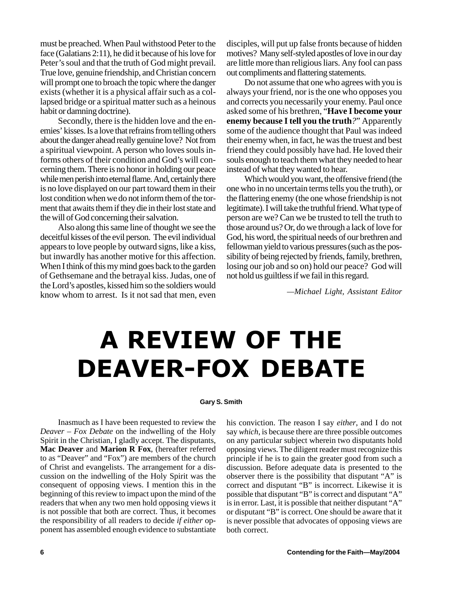must be preached. When Paul withstood Peter to the face (Galatians 2:11), he did it because of his love for Peter's soul and that the truth of God might prevail. True love, genuine friendship, and Christian concern will prompt one to broach the topic where the danger exists (whether it is a physical affair such as a collapsed bridge or a spiritual matter such as a heinous habit or damning doctrine).

Secondly, there is the hidden love and the enemies' kisses. Is a love that refrains from telling others about the danger ahead really genuine love? Not from a spiritual viewpoint. A person who loves souls informs others of their condition and God's will concerning them. There is no honor in holding our peace while men perish into eternal flame. And, certainly there is no love displayed on our part toward them in their lost condition when we do not inform them of the torment that awaits them if they die in their lost state and the will of God concerning their salvation.

Also along this same line of thought we see the deceitful kisses of the evil person. The evil individual appears to love people by outward signs, like a kiss, but inwardly has another motive for this affection. When I think of this my mind goes back to the garden of Gethsemane and the betrayal kiss. Judas, one of the Lord's apostles, kissed him so the soldiers would know whom to arrest. Is it not sad that men, even disciples, will put up false fronts because of hidden motives? Many self-styled apostles of love in our day are little more than religious liars. Any fool can pass out compliments and flattering statements.

Do not assume that one who agrees with you is always your friend, nor is the one who opposes you and corrects you necessarily your enemy. Paul once asked some of his brethren, "**Have I become your enemy because I tell you the truth***?*" Apparently some of the audience thought that Paul was indeed their enemy when, in fact, he was the truest and best friend they could possibly have had. He loved their souls enough to teach them what they needed to hear instead of what they wanted to hear.

Which would you want, the offensive friend (the one who in no uncertain terms tells you the truth), or the flattering enemy (the one whose friendship is not legitimate). I will take the truthful friend. What type of person are we? Can we be trusted to tell the truth to those around us? Or, do we through a lack of love for God, his word, the spiritual needs of our brethren and fellowman yield to various pressures (such as the possibility of being rejected by friends, family, brethren, losing our job and so on) hold our peace? God will not hold us guiltless if we fail in this regard.

*—Michael Light, Assistant Editor*

# A REVIEW OF THE DEAVER-FOX DEBATE

### **Gary S. Smith**

Inasmuch as I have been requested to review the *Deaver – Fox Debate* on the indwelling of the Holy Spirit in the Christian, I gladly accept. The disputants, **Mac Deaver** and **Marion R Fox**, (hereafter referred to as "Deaver" and "Fox") are members of the church of Christ and evangelists. The arrangement for a discussion on the indwelling of the Holy Spirit was the consequent of opposing views. I mention this in the beginning of this review to impact upon the mind of the readers that when any two men hold opposing views it is not possible that both are correct. Thus, it becomes the responsibility of all readers to decide *if either* opponent has assembled enough evidence to substantiate his conviction. The reason I say *either*, and I do not say *which*, is because there are three possible outcomes on any particular subject wherein two disputants hold opposing views. The diligent reader must recognize this principle if he is to gain the greater good from such a discussion. Before adequate data is presented to the observer there is the possibility that disputant "A" is correct and disputant "B" is incorrect. Likewise it is possible that disputant "B" is correct and disputant "A" is in error. Last, it is possible that neither disputant "A" or disputant "B" is correct. One should be aware that it is never possible that advocates of opposing views are both correct.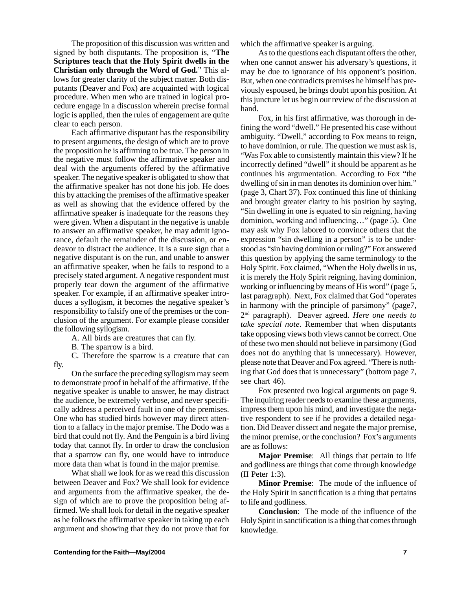The proposition of this discussion was written and signed by both disputants. The proposition is, "**The Scriptures teach that the Holy Spirit dwells in the Christian only through the Word of God.**" This allows for greater clarity of the subject matter. Both disputants (Deaver and Fox) are acquainted with logical procedure. When men who are trained in logical procedure engage in a discussion wherein precise formal logic is applied, then the rules of engagement are quite clear to each person.

Each affirmative disputant has the responsibility to present arguments, the design of which are to prove the proposition he is affirming to be true. The person in the negative must follow the affirmative speaker and deal with the arguments offered by the affirmative speaker. The negative speaker is obligated to show that the affirmative speaker has not done his job. He does this by attacking the premises of the affirmative speaker as well as showing that the evidence offered by the affirmative speaker is inadequate for the reasons they were given. When a disputant in the negative is unable to answer an affirmative speaker, he may admit ignorance, default the remainder of the discussion, or endeavor to distract the audience. It is a sure sign that a negative disputant is on the run, and unable to answer an affirmative speaker, when he fails to respond to a precisely stated argument. A negative respondent must properly tear down the argument of the affirmative speaker. For example, if an affirmative speaker introduces a syllogism, it becomes the negative speaker's responsibility to falsify one of the premises or the conclusion of the argument. For example please consider the following syllogism.

A. All birds are creatures that can fly.

B. The sparrow is a bird.

C. Therefore the sparrow is a creature that can fly.

On the surface the preceding syllogism may seem to demonstrate proof in behalf of the affirmative. If the negative speaker is unable to answer, he may distract the audience, be extremely verbose, and never specifically address a perceived fault in one of the premises. One who has studied birds however may direct attention to a fallacy in the major premise. The Dodo was a bird that could not fly. And the Penguin is a bird living today that cannot fly. In order to draw the conclusion that a sparrow can fly, one would have to introduce more data than what is found in the major premise.

What shall we look for as we read this discussion between Deaver and Fox? We shall look for evidence and arguments from the affirmative speaker, the design of which are to prove the proposition being affirmed. We shall look for detail in the negative speaker as he follows the affirmative speaker in taking up each argument and showing that they do not prove that for which the affirmative speaker is arguing.

As to the questions each disputant offers the other, when one cannot answer his adversary's questions, it may be due to ignorance of his opponent's position. But, when one contradicts premises he himself has previously espoused, he brings doubt upon his position. At this juncture let us begin our review of the discussion at hand.

Fox, in his first affirmative, was thorough in defining the word "dwell." He presented his case without ambiguity. "Dwell," according to Fox means to reign, to have dominion, or rule. The question we must ask is, "Was Fox able to consistently maintain this view? If he incorrectly defined "dwell" it should be apparent as he continues his argumentation. According to Fox "the dwelling of sin in man denotes its dominion over him." (page 3, Chart 37). Fox continued this line of thinking and brought greater clarity to his position by saying, "Sin dwelling in one is equated to sin reigning, having dominion, working and influencing…" (page 5). One may ask why Fox labored to convince others that the expression "sin dwelling in a person" is to be understood as "sin having dominion or ruling?" Fox answered this question by applying the same terminology to the Holy Spirit. Fox claimed, "When the Holy dwells in us, it is merely the Holy Spirit reigning, having dominion, working or influencing by means of His word" (page 5, last paragraph). Next, Fox claimed that God "operates in harmony with the principle of parsimony" (page7, 2nd paragraph). Deaver agreed. *Here one needs to take special note.* Remember that when disputants take opposing views both views cannot be correct. One of these two men should not believe in parsimony (God does not do anything that is unnecessary). However, please note that Deaver and Fox agreed. "There is nothing that God does that is unnecessary" (bottom page 7, see chart 46).

Fox presented two logical arguments on page 9. The inquiring reader needs to examine these arguments, impress them upon his mind, and investigate the negative respondent to see if he provides a detailed negation. Did Deaver dissect and negate the major premise, the minor premise, or the conclusion? Fox's arguments are as follows:

**Major Premise**: All things that pertain to life and godliness are things that come through knowledge (II Peter 1:3).

**Minor Premise**: The mode of the influence of the Holy Spirit in sanctification is a thing that pertains to life and godliness.

**Conclusion**: The mode of the influence of the Holy Spirit in sanctification is a thing that comes through knowledge.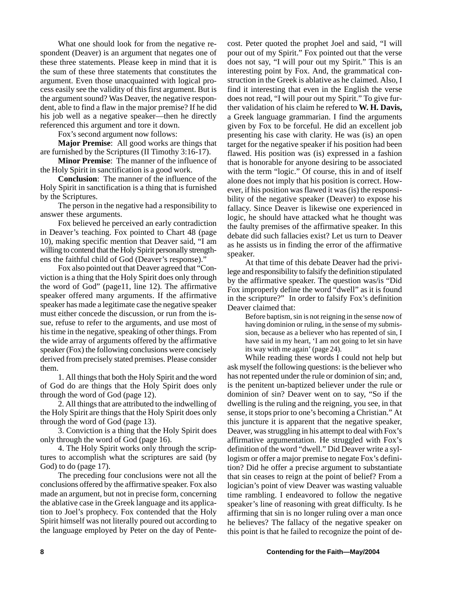What one should look for from the negative respondent (Deaver) is an argument that negates one of these three statements. Please keep in mind that it is the sum of these three statements that constitutes the argument. Even those unacquainted with logical process easily see the validity of this first argument. But is the argument sound? Was Deaver, the negative respondent, able to find a flaw in the major premise? If he did his job well as a negative speaker—then he directly referenced this argument and tore it down.

Fox's second argument now follows:

**Major Premise**: All good works are things that are furnished by the Scriptures (II Timothy 3:16-17).

**Minor Premise**: The manner of the influence of the Holy Spirit in sanctification is a good work.

**Conclusion**: The manner of the influence of the Holy Spirit in sanctification is a thing that is furnished by the Scriptures.

The person in the negative had a responsibility to answer these arguments.

Fox believed he perceived an early contradiction in Deaver's teaching. Fox pointed to Chart 48 (page 10), making specific mention that Deaver said, "I am willing to contend that the Holy Spirit personally strengthens the faithful child of God (Deaver's response)."

Fox also pointed out that Deaver agreed that "Conviction is a thing that the Holy Spirit does only through the word of God" (page11, line 12). The affirmative speaker offered many arguments. If the affirmative speaker has made a legitimate case the negative speaker must either concede the discussion, or run from the issue, refuse to refer to the arguments, and use most of his time in the negative, speaking of other things. From the wide array of arguments offered by the affirmative speaker (Fox) the following conclusions were concisely derived from precisely stated premises. Please consider them.

1. All things that both the Holy Spirit and the word of God do are things that the Holy Spirit does only through the word of God (page 12).

2. All things that are attributed to the indwelling of the Holy Spirit are things that the Holy Spirit does only through the word of God (page 13).

3. Conviction is a thing that the Holy Spirit does only through the word of God (page 16).

4. The Holy Spirit works only through the scriptures to accomplish what the scriptures are said (by God) to do (page 17).

The preceding four conclusions were not all the conclusions offered by the affirmative speaker. Fox also made an argument, but not in precise form, concerning the ablative case in the Greek language and its application to Joel's prophecy. Fox contended that the Holy Spirit himself was not literally poured out according to the language employed by Peter on the day of Pentecost. Peter quoted the prophet Joel and said, "I will pour out of my Spirit." Fox pointed out that the verse does not say, "I will pour out my Spirit." This is an interesting point by Fox. And, the grammatical construction in the Greek is ablative as he claimed. Also, I find it interesting that even in the English the verse does not read, "I will pour out my Spirit." To give further validation of his claim he refered to **W. H. Davis,** a Greek language grammarian. I find the arguments given by Fox to be forceful. He did an excellent job presenting his case with clarity. He was (is) an open target for the negative speaker if his position had been flawed. His position was (is) expressed in a fashion that is honorable for anyone desiring to be associated with the term "logic." Of course, this in and of itself alone does not imply that his position is correct. However, if his position was flawed it was (is) the responsibility of the negative speaker (Deaver) to expose his fallacy. Since Deaver is likewise one experienced in logic, he should have attacked what he thought was the faulty premises of the affirmative speaker. In this debate did such fallacies exist? Let us turn to Deaver as he assists us in finding the error of the affirmative speaker.

At that time of this debate Deaver had the privilege and responsibility to falsify the definition stipulated by the affirmative speaker. The question was/is "Did Fox improperly define the word "dwell" as it is found in the scripture?" In order to falsify Fox's definition Deaver claimed that:

> Before baptism, sin is not reigning in the sense now of having dominion or ruling, in the sense of my submission, because as a believer who has repented of sin, I have said in my heart, 'I am not going to let sin have its way with me again' (page 24).

While reading these words I could not help but ask myself the following questions: is the believer who has not repented under the rule or dominion of sin; and, is the penitent un-baptized believer under the rule or dominion of sin? Deaver went on to say, "So if the dwelling is the ruling and the reigning, you see, in that sense, it stops prior to one's becoming a Christian." At this juncture it is apparent that the negative speaker, Deaver, was struggling in his attempt to deal with Fox's affirmative argumentation. He struggled with Fox's definition of the word "dwell." Did Deaver write a syllogism or offer a major premise to negate Fox's definition? Did he offer a precise argument to substantiate that sin ceases to reign at the point of belief? From a logician's point of view Deaver was wasting valuable time rambling. I endeavored to follow the negative speaker's line of reasoning with great difficulty. Is he affirming that sin is no longer ruling over a man once he believes? The fallacy of the negative speaker on this point is that he failed to recognize the point of de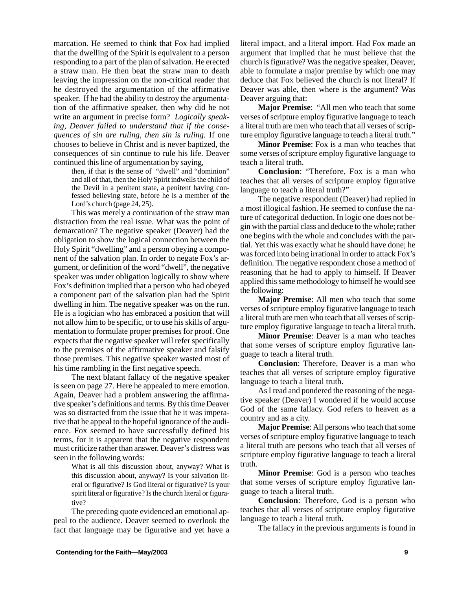marcation. He seemed to think that Fox had implied that the dwelling of the Spirit is equivalent to a person responding to a part of the plan of salvation. He erected a straw man. He then beat the straw man to death leaving the impression on the non-critical reader that he destroyed the argumentation of the affirmative speaker. If he had the ability to destroy the argumentation of the affirmative speaker, then why did he not write an argument in precise form? *Logically speaking, Deaver failed to understand that if the consequences of sin are ruling, then sin is ruling.* If one chooses to believe in Christ and is never baptized, the consequences of sin continue to rule his life. Deaver continued this line of argumentation by saying,

> then, if that is the sense of "dwell" and "dominion" and all of that, then the Holy Spirit indwells the child of the Devil in a penitent state, a penitent having confessed believing state, before he is a member of the Lord's church (page 24, 25).

This was merely a continuation of the straw man distraction from the real issue. What was the point of demarcation? The negative speaker (Deaver) had the obligation to show the logical connection between the Holy Spirit "dwelling" and a person obeying a component of the salvation plan. In order to negate Fox's argument, or definition of the word "dwell", the negative speaker was under obligation logically to show where Fox's definition implied that a person who had obeyed a component part of the salvation plan had the Spirit dwelling in him. The negative speaker was on the run. He is a logician who has embraced a position that will not allow him to be specific, or to use his skills of argumentation to formulate proper premises for proof. One expects that the negative speaker will refer specifically to the premises of the affirmative speaker and falsify those premises. This negative speaker wasted most of his time rambling in the first negative speech.

The next blatant fallacy of the negative speaker is seen on page 27. Here he appealed to mere emotion. Again, Deaver had a problem answering the affirmative speaker's definitions and terms. By this time Deaver was so distracted from the issue that he it was imperative that he appeal to the hopeful ignorance of the audience. Fox seemed to have successfully defined his terms, for it is apparent that the negative respondent must criticize rather than answer. Deaver's distress was seen in the following words:

> What is all this discussion about, anyway? What is this discussion about, anyway? Is your salvation literal or figurative? Is God literal or figurative? Is your spirit literal or figurative? Is the church literal or figurative?

The preceding quote evidenced an emotional appeal to the audience. Deaver seemed to overlook the fact that language may be figurative and yet have a literal impact, and a literal import. Had Fox made an argument that implied that he must believe that the church is figurative? Was the negative speaker, Deaver, able to formulate a major premise by which one may deduce that Fox believed the church is not literal? If Deaver was able, then where is the argument? Was Deaver arguing that:

**Major Premise**: "All men who teach that some verses of scripture employ figurative language to teach a literal truth are men who teach that all verses of scripture employ figurative language to teach a literal truth."

**Minor Premise**: Fox is a man who teaches that some verses of scripture employ figurative language to teach a literal truth.

**Conclusion**: "Therefore, Fox is a man who teaches that all verses of scripture employ figurative language to teach a literal truth?"

The negative respondent (Deaver) had replied in a most illogical fashion. He seemed to confuse the nature of categorical deduction. In logic one does not begin with the partial class and deduce to the whole; rather one begins with the whole and concludes with the partial. Yet this was exactly what he should have done; he was forced into being irrational in order to attack Fox's definition. The negative respondent chose a method of reasoning that he had to apply to himself. If Deaver applied this same methodology to himself he would see the following:

**Major Premise**: All men who teach that some verses of scripture employ figurative language to teach a literal truth are men who teach that all verses of scripture employ figurative language to teach a literal truth.

**Minor Premise**: Deaver is a man who teaches that some verses of scripture employ figurative language to teach a literal truth.

**Conclusion**: Therefore, Deaver is a man who teaches that all verses of scripture employ figurative language to teach a literal truth.

As I read and pondered the reasoning of the negative speaker (Deaver) I wondered if he would accuse God of the same fallacy. God refers to heaven as a country and as a city.

**Major Premise**: All persons who teach that some verses of scripture employ figurative language to teach a literal truth are persons who teach that all verses of scripture employ figurative language to teach a literal truth.

**Minor Premise**: God is a person who teaches that some verses of scripture employ figurative language to teach a literal truth.

**Conclusion**: Therefore, God is a person who teaches that all verses of scripture employ figurative language to teach a literal truth.

The fallacy in the previous arguments is found in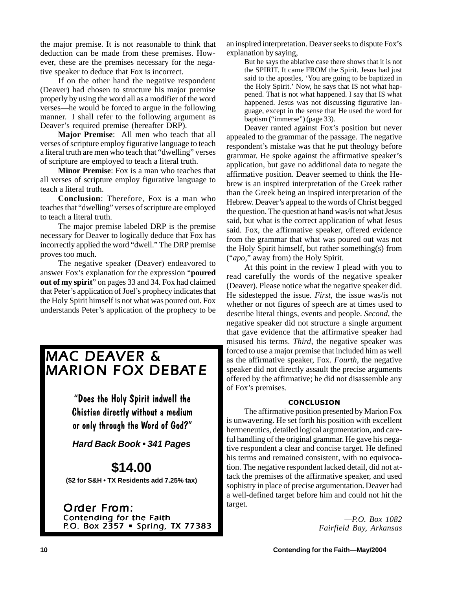the major premise. It is not reasonable to think that deduction can be made from these premises. However, these are the premises necessary for the negative speaker to deduce that Fox is incorrect.

If on the other hand the negative respondent (Deaver) had chosen to structure his major premise properly by using the word all as a modifier of the word verses—he would be forced to argue in the following manner.I shall refer to the following argument as Deaver's required premise (hereafter DRP).

**Major Premise**: All men who teach that all verses of scripture employ figurative language to teach a literal truth are men who teach that "dwelling" verses of scripture are employed to teach a literal truth.

**Minor Premise**: Fox is a man who teaches that all verses of scripture employ figurative language to teach a literal truth.

**Conclusion**: Therefore, Fox is a man who teaches that "dwelling" verses of scripture are employed to teach a literal truth.

The major premise labeled DRP is the premise necessary for Deaver to logically deduce that Fox has incorrectly applied the word "dwell." The DRP premise proves too much.

The negative speaker (Deaver) endeavored to answer Fox's explanation for the expression "**poured out of my spirit**" on pages 33 and 34. Fox had claimed that Peter's application of Joel's prophecy indicates that the Holy Spirit himself is not what was poured out. Fox understands Peter's application of the prophecy to be

## *MAC DEAVER &* **MARION FOX DEBATE**

"Does the Holy Spirit indwell the Chistian directly without a medium or only through the Word of God?"

*Hard Back Book • 341 Pages*

## **\$14.00**

**(\$2 for S&H • TX Residents add 7.25% tax)**

*Order From: Contending for the Faith P.O. Box 2357 • Spring, TX 77383 .O. Box 2357 • TX*  an inspired interpretation. Deaver seeks to dispute Fox's explanation by saying,

> But he says the ablative case there shows that it is not the SPIRIT. It came FROM the Spirit. Jesus had just said to the apostles, 'You are going to be baptized in the Holy Spirit.' Now, he says that IS not what happened. That is not what happened. I say that IS what happened. Jesus was not discussing figurative language, except in the sense that He used the word for baptism ("immerse") (page 33).

Deaver ranted against Fox's position but never appealed to the grammar of the passage. The negative respondent's mistake was that he put theology before grammar. He spoke against the affirmative speaker's application, but gave no additional data to negate the affirmative position. Deaver seemed to think the Hebrew is an inspired interpretation of the Greek rather than the Greek being an inspired interpretation of the Hebrew. Deaver's appeal to the words of Christ begged the question. The question at hand was/is not what Jesus said, but what is the correct application of what Jesus said. Fox, the affirmative speaker, offered evidence from the grammar that what was poured out was not the Holy Spirit himself, but rather something(s) from ("*apo*," away from) the Holy Spirit.

At this point in the review I plead with you to read carefully the words of the negative speaker (Deaver). Please notice what the negative speaker did. He sidestepped the issue. *First*, the issue was/is not whether or not figures of speech are at times used to describe literal things, events and people. *Second*, the negative speaker did not structure a single argument that gave evidence that the affirmative speaker had misused his terms. *Third*, the negative speaker was forced to use a major premise that included him as well as the affirmative speaker, Fox. *Fourth*, the negative speaker did not directly assault the precise arguments offered by the affirmative; he did not disassemble any of Fox's premises.

## **CONCLUSION**

The affirmative position presented by Marion Fox is unwavering. He set forth his position with excellent hermeneutics, detailed logical argumentation, and careful handling of the original grammar. He gave his negative respondent a clear and concise target. He defined his terms and remained consistent, with no equivocation. The negative respondent lacked detail, did not attack the premises of the affirmative speaker, and used sophistry in place of precise argumentation. Deaver had a well-defined target before him and could not hit the target.

> *—P.O. Box 1082 Fairfield Bay, Arkansas*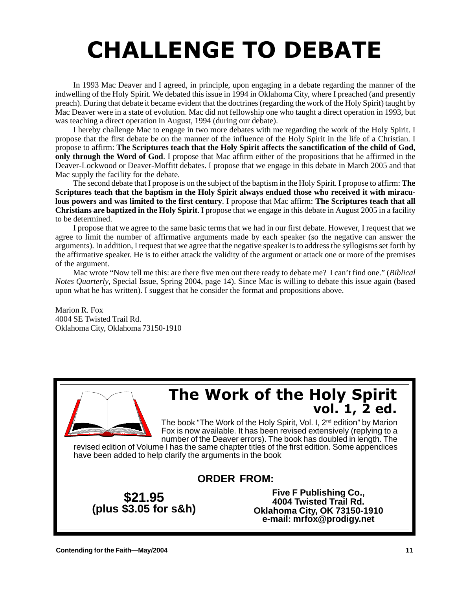# **CHALLENGE TO DEBATE**

In 1993 Mac Deaver and I agreed, in principle, upon engaging in a debate regarding the manner of the indwelling of the Holy Spirit. We debated this issue in 1994 in Oklahoma City, where I preached (and presently preach). During that debate it became evident that the doctrines (regarding the work of the Holy Spirit) taught by Mac Deaver were in a state of evolution. Mac did not fellowship one who taught a direct operation in 1993, but was teaching a direct operation in August, 1994 (during our debate).

I hereby challenge Mac to engage in two more debates with me regarding the work of the Holy Spirit. I propose that the first debate be on the manner of the influence of the Holy Spirit in the life of a Christian. I propose to affirm: **The Scriptures teach that the Holy Spirit affects the sanctification of the child of God, only through the Word of God**. I propose that Mac affirm either of the propositions that he affirmed in the Deaver-Lockwood or Deaver-Moffitt debates. I propose that we engage in this debate in March 2005 and that Mac supply the facility for the debate.

The second debate that I propose is on the subject of the baptism in the Holy Spirit. I propose to affirm: **The Scriptures teach that the baptism in the Holy Spirit always endued those who received it with miraculous powers and was limited to the first century**. I propose that Mac affirm: **The Scriptures teach that all Christians are baptized in the Holy Spirit**. I propose that we engage in this debate in August 2005 in a facility to be determined.

I propose that we agree to the same basic terms that we had in our first debate. However, I request that we agree to limit the number of affirmative arguments made by each speaker (so the negative can answer the arguments). In addition, I request that we agree that the negative speaker is to address the syllogisms set forth by the affirmative speaker. He is to either attack the validity of the argument or attack one or more of the premises of the argument.

Mac wrote "Now tell me this: are there five men out there ready to debate me? I can't find one." (*Biblical Notes Quarterly*, Special Issue, Spring 2004, page 14). Since Mac is willing to debate this issue again (based upon what he has written). I suggest that he consider the format and propositions above.

Marion R. Fox 4004 SE Twisted Trail Rd. Oklahoma City, Oklahoma 73150-1910

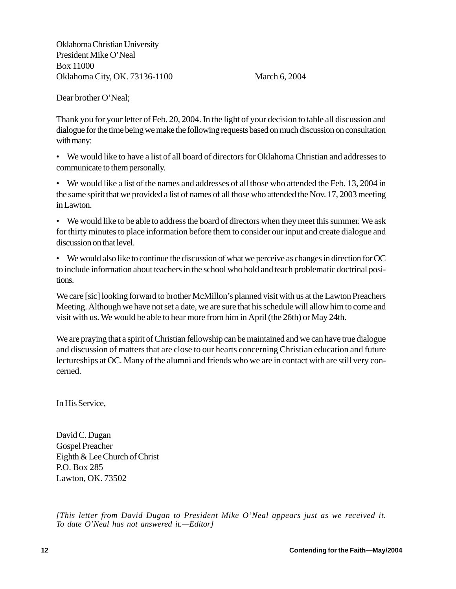Oklahoma Christian University President Mike O'Neal Box 11000 Oklahoma City, OK. 73136-1100 March 6, 2004

Dear brother O'Neal;

Thank you for your letter of Feb. 20, 2004. In the light of your decision to table all discussion and dialogue for the time being we make the following requests based on much discussion on consultation with many:

• We would like to have a list of all board of directors for Oklahoma Christian and addresses to communicate to them personally.

• We would like a list of the names and addresses of all those who attended the Feb. 13, 2004 in the same spirit that we provided a list of names of all those who attended the Nov. 17, 2003 meeting in Lawton.

• We would like to be able to address the board of directors when they meet this summer. We ask for thirty minutes to place information before them to consider our input and create dialogue and discussion on that level.

• We would also like to continue the discussion of what we perceive as changes in direction for OC to include information about teachers in the school who hold and teach problematic doctrinal positions.

We care [sic] looking forward to brother McMillon's planned visit with us at the Lawton Preachers Meeting. Although we have not set a date, we are sure that his schedule will allow him to come and visit with us. We would be able to hear more from him in April (the 26th) or May 24th.

We are praying that a spirit of Christian fellowship can be maintained and we can have true dialogue and discussion of matters that are close to our hearts concerning Christian education and future lectureships at OC. Many of the alumni and friends who we are in contact with are still very concerned.

In His Service,

David C. Dugan Gospel Preacher Eighth & Lee Church of Christ P.O. Box 285 Lawton, OK. 73502

*[This letter from David Dugan to President Mike O'Neal appears just as we received it. To date O'Neal has not answered it.—Editor]*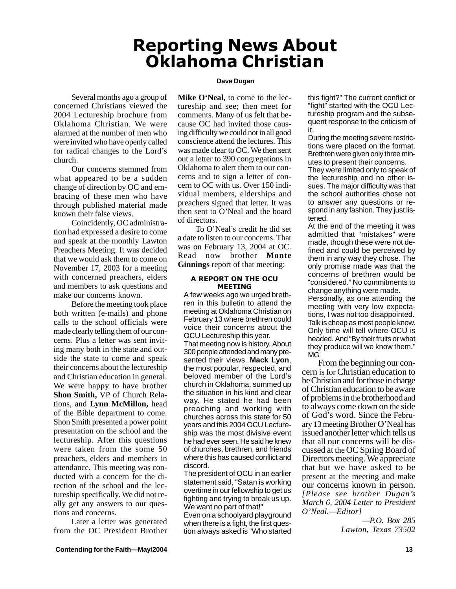## **Reporting News About** <u>Oklahoma Christian</u>

## **Dave Dugan**

Several months ago a group of concerned Christians viewed the 2004 Lectureship brochure from Oklahoma Christian. We were alarmed at the number of men who were invited who have openly called for radical changes to the Lord's church.

Our concerns stemmed from what appeared to be a sudden change of direction by OC and embracing of these men who have through published material made known their false views.

Coincidently, OC administration had expressed a desire to come and speak at the monthly Lawton Preachers Meeting. It was decided that we would ask them to come on November 17, 2003 for a meeting with concerned preachers, elders and members to ask questions and make our concerns known.

Before the meeting took place both written (e-mails) and phone calls to the school officials were made clearly telling them of our concerns. Plus a letter was sent inviting many both in the state and outside the state to come and speak their concerns about the lectureship and Christian education in general. We were happy to have brother **Shon Smith,** VP of Church Relations, and **Lynn McMillon,** head of the Bible department to come. Shon Smith presented a power point presentation on the school and the lectureship. After this questions were taken from the some 50 preachers, elders and members in attendance. This meeting was conducted with a concern for the direction of the school and the lectureship specifically. We did not really get any answers to our questions and concerns.

Later a letter was generated from the OC President Brother **Mike O'Neal,** to come to the lectureship and see; then meet for comments. Many of us felt that because OC had invited those causing difficulty we could not in all good conscience attend the lectures. This was made clear to OC. We then sent out a letter to 390 congregations in Oklahoma to alert them to our concerns and to sign a letter of concern to OC with us. Over 150 individual members, elderships and preachers signed that letter. It was then sent to O'Neal and the board of directors.

To O'Neal's credit he did set a date to listen to our concerns. That was on February 13, 2004 at OC. Read now brother **Monte Ginnings** report of that meeting:

## A REPORT ON THE OCU **MEETING**

A few weeks ago we urged brethren in this bulletin to attend the meeting at Oklahoma Christian on February 13 where brethren could voice their concerns about the OCU Lectureship this year. That meeting now is history. About 300 people attended and many presented their views. **Mack Lyon**, the most popular, respected, and beloved member of the Lord's church in Oklahoma, summed up the situation in his kind and clear way. He stated he had been preaching and working with churches across this state for 50 years and this 2004 OCU Lectureship was the most divisive event he had ever seen. He said he knew of churches, brethren, and friends where this has caused conflict and discord.

The president of OCU in an earlier statement said, "Satan is working overtime in our fellowship to get us fighting and trying to break us up. We want no part of that!"

Even on a schoolyard playground when there is a fight, the first question always asked is "Who started this fight?" The current conflict or "fight" started with the OCU Lectureship program and the subsequent response to the criticism of it.

During the meeting severe restrictions were placed on the format. Brethren were given only three minutes to present their concerns.

They were limited only to speak of the lectureship and no other issues. The major difficulty was that the school authorities chose not to answer any questions or respond in any fashion. They just listened.

At the end of the meeting it was admitted that "mistakes" were made, though these were not defined and could be perceived by them in any way they chose. The only promise made was that the concerns of brethren would be "considered." No commitments to change anything were made.

Personally, as one attending the meeting with very low expectations, I was not too disappointed. Talk is cheap as most people know. Only time will tell where OCU is headed. And "By their fruits or what they produce will we know them." MG

From the beginning our concern is for Christian education to be Christian and for those in charge of Christian education to be aware of problems in the brotherhood and to always come down on the side of God's word. Since the February 13 meeting Brother O'Neal has issued another letter which tells us that all our concerns will be discussed at the OC Spring Board of Directors meeting. We appreciate that but we have asked to be present at the meeting and make our concerns known in person. *[Please see brother Dugan's March 6, 2004 Letter to President O'Neal.—Editor]*

*—P.O. Box 285 Lawton, Texas 73502*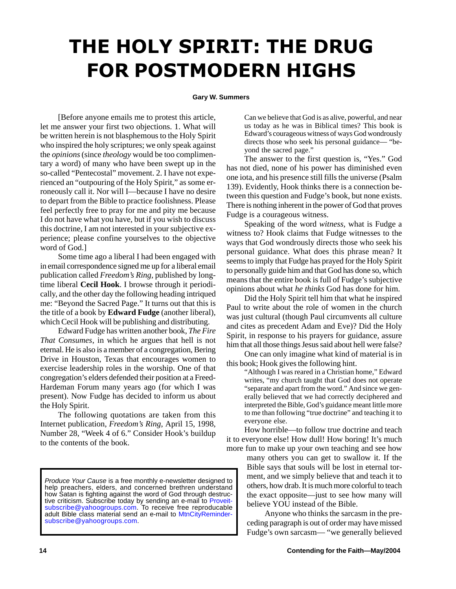# THE HOLY SPIRIT: THE DRUG **FOR POSTMODERN HIGHS**

## **Gary W. Summers**

[Before anyone emails me to protest this article, let me answer your first two objections. 1. What will be written herein is not blasphemous to the Holy Spirit who inspired the holy scriptures; we only speak against the *opinions* (since *theology* would be too complimentary a word) of many who have been swept up in the so-called "Pentecostal" movement. 2. I have not experienced an "outpouring of the Holy Spirit," as some erroneously call it. Nor will I—because I have no desire to depart from the Bible to practice foolishness. Please feel perfectly free to pray for me and pity me because I do not have what you have, but if you wish to discuss this doctrine, I am not interested in your subjective experience; please confine yourselves to the objective word of God.]

Some time ago a liberal I had been engaged with in email correspondence signed me up for a liberal email publication called *Freedom's Ring,* published by longtime liberal **Cecil Hook**. I browse through it periodically, and the other day the following heading intriqued me: "Beyond the Sacred Page." It turns out that this is the title of a book by **Edward Fudge** (another liberal), which Cecil Hook will be publishing and distributing.

Edward Fudge has written another book, *The Fire That Consumes*, in which he argues that hell is not eternal. He is also is a member of a congregation, Bering Drive in Houston, Texas that encourages women to exercise leadership roles in the worship. One of that congregation's elders defended their position at a Freed-Hardeman Forum many years ago (for which I was present). Now Fudge has decided to inform us about the Holy Spirit.

The following quotations are taken from this Internet publication, *Freedom's Ring*, April 15, 1998, Number 28, "Week 4 of 6." Consider Hook's buildup to the contents of the book.

*Produce Your Cause* is a free monthly e-newsletter designed to help preachers, elders, and concerned brethren understand how Satan is fighting against the word of God through destructive criticism. Subscribe today by sending an e-mail to Proveitsubscribe@yahoogroups.com. To receive free reproducable adult Bible class material send an e-mail to MtnCityRemindersubscribe@yahoogroups.com.

Can we believe that God is as alive, powerful, and near us today as he was in Biblical times? This book is Edward's courageous witness of ways God wondrously directs those who seek his personal guidance— "beyond the sacred page."

The answer to the first question is, "Yes." God has not died, none of his power has diminished even one iota, and his presence still fills the universe (Psalm 139). Evidently, Hook thinks there is a connection between this question and Fudge's book, but none exists. There is nothing inherent in the power of God that proves Fudge is a courageous witness.

Speaking of the word *witness,* what is Fudge a witness to? Hook claims that Fudge witnesses to the ways that God wondrously directs those who seek his personal guidance. What does this phrase mean? It seems to imply that Fudge has prayed for the Holy Spirit to personally guide him and that God has done so, which means that the entire book is full of Fudge's subjective opinions about what *he thinks* God has done for him.

Did the Holy Spirit tell him that what he inspired Paul to write about the role of women in the church was just cultural (though Paul circumvents all culture and cites as precedent Adam and Eve)? Did the Holy Spirit, in response to his prayers for guidance, assure him that all those things Jesus said about hell were false?

One can only imagine what kind of material is in this book; Hook gives the following hint.

> "Although I was reared in a Christian home," Edward writes, "my church taught that God does not operate "separate and apart from the word." And since we generally believed that we had correctly deciphered and interpreted the Bible, God's guidance meant little more to me than following "true doctrine" and teaching it to everyone else.

How horrible—to follow true doctrine and teach it to everyone else! How dull! How boring! It's much

more fun to make up your own teaching and see how many others you can get to swallow it. If the Bible says that souls will be lost in eternal torment, and we simply believe that and teach it to others, how drab. It is much more colorful to teach the exact opposite—just to see how many will believe YOU instead of the Bible.

> Anyone who thinks the sarcasm in the preceding paragraph is out of order may have missed Fudge's own sarcasm— "we generally believed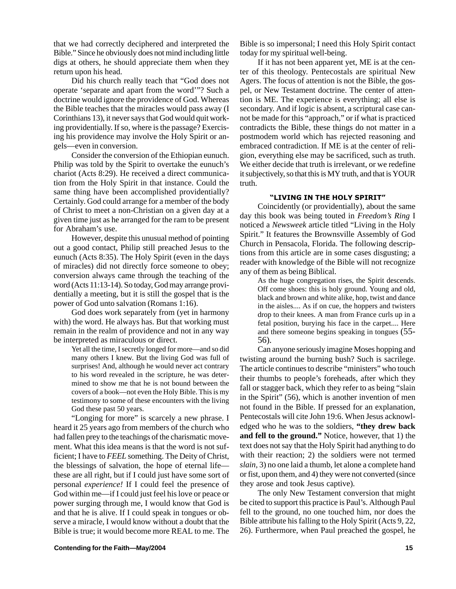that we had correctly deciphered and interpreted the Bible." Since he obviously does not mind including little digs at others, he should appreciate them when they return upon his head.

Did his church really teach that "God does not operate 'separate and apart from the word'"? Such a doctrine would ignore the providence of God. Whereas the Bible teaches that the miracles would pass away (I Corinthians 13), it never says that God would quit working providentially. If so, where is the passage? Exercising his providence may involve the Holy Spirit or angels—even in conversion.

Consider the conversion of the Ethiopian eunuch. Philip was told by the Spirit to overtake the eunuch's chariot (Acts 8:29). He received a direct communication from the Holy Spirit in that instance. Could the same thing have been accomplished providentially? Certainly. God could arrange for a member of the body of Christ to meet a non-Christian on a given day at a given time just as he arranged for the ram to be present for Abraham's use.

However, despite this unusual method of pointing out a good contact, Philip still preached Jesus to the eunuch (Acts 8:35). The Holy Spirit (even in the days of miracles) did not directly force someone to obey; conversion always came through the teaching of the word (Acts 11:13-14). So today, God may arrange providentially a meeting, but it is still the gospel that is the power of God unto salvation (Romans 1:16).

God does work separately from (yet in harmony with) the word. He always has. But that working must remain in the realm of providence and not in any way be interpreted as miraculous or direct.

> Yet all the time, I secretly longed for more—and so did many others I knew. But the living God was full of surprises! And, although he would never act contrary to his word revealed in the scripture, he was determined to show me that he is not bound between the covers of a book—not even the Holy Bible. This is my testimony to some of these encounters with the living God these past 50 years.

"Longing for more" is scarcely a new phrase. I heard it 25 years ago from members of the church who had fallen prey to the teachings of the charismatic movement. What this idea means is that the word is not sufficient; I have to *FEEL* something. The Deity of Christ, the blessings of salvation, the hope of eternal life these are all right, but if I could just have some sort of personal *experience!* If I could feel the presence of God within me—if I could just feel his love or peace or power surging through me, I would know that God is and that he is alive. If I could speak in tongues or observe a miracle, I would know without a doubt that the Bible is true; it would become more REAL to me. The

Bible is so impersonal; I need this Holy Spirit contact today for my spiritual well-being.

If it has not been apparent yet, ME is at the center of this theology. Pentecostals are spiritual New Agers. The focus of attention is not the Bible, the gospel, or New Testament doctrine. The center of attention is ME. The experience is everything; all else is secondary. And if logic is absent, a scriptural case cannot be made for this "approach," or if what is practiced contradicts the Bible, these things do not matter in a postmodem world which has rejected reasoning and embraced contradiction. If ME is at the center of religion, everything else may be sacrificed, such as truth. We either decide that truth is irrelevant, or we redefine it subjectively, so that this is MY truth, and that is YOUR truth.

## "LIVING IN THE HOLY SPIRIT"

Coincidently (or providentially), about the same day this book was being touted in *Freedom's Ring* I noticed a *Newsweek* article titled "Living in the Holy Spirit." It features the Brownsville Assembly of God Church in Pensacola, Florida. The following descriptions from this article are in some cases disgusting; a reader with knowledge of the Bible will not recognize any of them as being Biblical.

As the huge congregation rises, the Spirit descends. Off come shoes: this is holy ground. Young and old, black and brown and white alike, hop, twist and dance in the aisles.... As if on cue, the hoppers and twisters drop to their knees. A man from France curls up in a fetal position, burying his face in the carpet.... Here and there someone begins speaking in tongues (55- 56).

Can anyone seriously imagine Moses hopping and twisting around the burning bush? Such is sacrilege. The article continues to describe "ministers" who touch their thumbs to people's foreheads, after which they fall or stagger back, which they refer to as being "slain in the Spirit" (56), which is another invention of men not found in the Bible. If pressed for an explanation, Pentecostals will cite John 19:6. When Jesus acknowledged who he was to the soldiers, **"they drew back and fell to the ground."** Notice, however, that 1) the text does not say that the Holy Spirit had anything to do with their reaction; 2) the soldiers were not termed *slain,* 3) no one laid a thumb, let alone a complete hand or fist, upon them, and 4) they were not converted (since they arose and took Jesus captive).

The only New Testament conversion that might be cited to support this practice is Paul's. Although Paul fell to the ground, no one touched him, nor does the Bible attribute his falling to the Holy Spirit (Acts 9, 22, 26). Furthermore, when Paul preached the gospel, he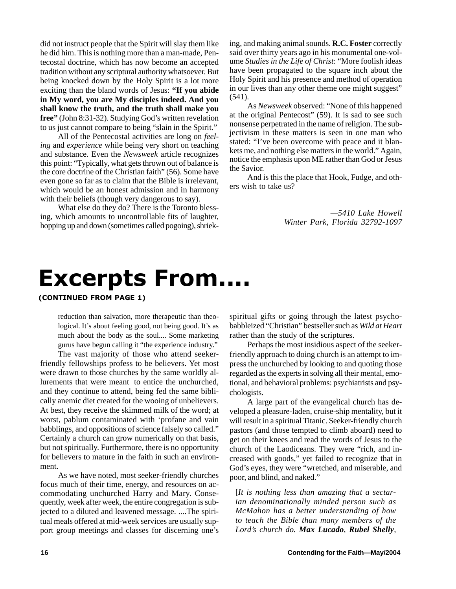did not instruct people that the Spirit will slay them like he did him. This is nothing more than a man-made, Pentecostal doctrine, which has now become an accepted tradition without any scriptural authority whatsoever. But being knocked down by the Holy Spirit is a lot more exciting than the bland words of Jesus: **"If you abide in My word, you are My disciples indeed. And you shall know the truth, and the truth shall make you free"** (John 8:31-32). Studying God's written revelation to us just cannot compare to being "slain in the Spirit."

All of the Pentecostal activities are long on *feeling* and *experience* while being very short on teaching and substance. Even the *Newsweek* article recognizes this point: "Typically, what gets thrown out of balance is the core doctrine of the Christian faith" (56). Some have even gone so far as to claim that the Bible is irrelevant, which would be an honest admission and in harmony with their beliefs (though very dangerous to say).

What else do they do? There is the Toronto blessing, which amounts to uncontrollable fits of laughter, hopping up and down (sometimes called pogoing), shrieking, and making animal sounds. **R.C. Foster** correctly said over thirty years ago in his monumental one-volume *Studies in the Life of Christ*: "More foolish ideas have been propagated to the square inch about the Holy Spirit and his presence and method of operation in our lives than any other theme one might suggest" (541).

As *Newsweek* observed: "None of this happened at the original Pentecost" (59). It is sad to see such nonsense perpetrated in the name of religion. The subjectivism in these matters is seen in one man who stated: "I've been overcome with peace and it blankets me, and nothing else matters in the world." Again, notice the emphasis upon ME rather than God or Jesus the Savior.

And is this the place that Hook, Fudge, and others wish to take us?

> *—5410 Lake Howell Winter Park, Florida 32792-1097*

## **Excerpts From....**

(CONTINUED FROM PAGE 1)

reduction than salvation, more therapeutic than theological. It's about feeling good, not being good. It's as much about the body as the soul.... Some marketing gurus have begun calling it "the experience industry."

The vast majority of those who attend seekerfriendly fellowships profess to be believers. Yet most were drawn to those churches by the same worldly allurements that were meant to entice the unchurched, and they continue to attend, being fed the same biblically anemic diet created for the wooing of unbelievers. At best, they receive the skimmed milk of the word; at worst, pablum contaminated with 'profane and vain babblings, and oppositions of science falsely so called." Certainly a church can grow numerically on that basis, but not spiritually. Furthermore, there is no opportunity for believers to mature in the faith in such an environment.

As we have noted, most seeker-friendly churches focus much of their time, energy, and resources on accommodating unchurched Harry and Mary. Consequently, week after week, the entire congregation is subjected to a diluted and leavened message. ....The spiritual meals offered at mid-week services are usually support group meetings and classes for discerning one's spiritual gifts or going through the latest psychobabbleized "Christian" bestseller such as *Wild at Heart* rather than the study of the scriptures.

Perhaps the most insidious aspect of the seekerfriendly approach to doing church is an attempt to impress the unchurched by looking to and quoting those regarded as the experts in solving all their mental, emotional, and behavioral problems: psychiatrists and psychologists.

A large part of the evangelical church has developed a pleasure-laden, cruise-ship mentality, but it will result in a spiritual Titanic. Seeker-friendly church pastors (and those tempted to climb aboard) need to get on their knees and read the words of Jesus to the church of the Laodiceans. They were "rich, and increased with goods," yet failed to recognize that in God's eyes, they were "wretched, and miserable, and poor, and blind, and naked."

[*It is nothing less than amazing that a sectarian denominationally minded person such as McMahon has a better understanding of how to teach the Bible than many members of the Lord's church do. Max Lucado, Rubel Shelly,*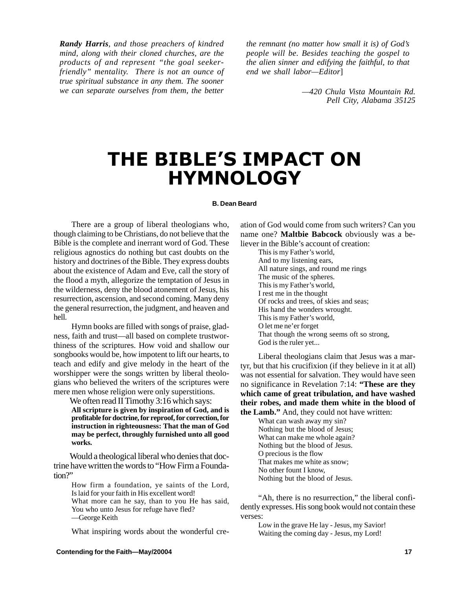*Randy Harris, and those preachers of kindred mind, along with their cloned churches, are the products of and represent "the goal seekerfriendly" mentality. There is not an ounce of true spiritual substance in any them. The sooner we can separate ourselves from them, the better*

*the remnant (no matter how small it is) of God's people will be. Besides teaching the gospel to the alien sinner and edifying the faithful, to that end we shall labor—Editor*]

> *—420 Chula Vista Mountain Rd. Pell City, Alabama 35125*

## THE BIBLE'S IMPACT ON **HYMNOLOGY**

## **B. Dean Beard**

There are a group of liberal theologians who, though claiming to be Christians, do not believe that the Bible is the complete and inerrant word of God. These religious agnostics do nothing but cast doubts on the history and doctrines of the Bible. They express doubts about the existence of Adam and Eve, call the story of the flood a myth, allegorize the temptation of Jesus in the wilderness, deny the blood atonement of Jesus, his resurrection, ascension, and second coming. Many deny the general resurrection, the judgment, and heaven and hell.

Hymn books are filled with songs of praise, gladness, faith and trust—all based on complete trustworthiness of the scriptures. How void and shallow our songbooks would be, how impotent to lift our hearts, to teach and edify and give melody in the heart of the worshipper were the songs written by liberal theologians who believed the writers of the scriptures were mere men whose religion were only superstitions.

We often read II Timothy 3:16 which says: **All scripture is given by inspiration of God, and is profitable for doctrine, for reproof, for correction, for instruction in righteousness: That the man of God may be perfect, throughly furnished unto all good works.**

Would a theological liberal who denies that doctrine have written the words to "How Firm a Foundation?"

> How firm a foundation, ye saints of the Lord, Is laid for your faith in His excellent word!

> What more can he say, than to you He has said, You who unto Jesus for refuge have fled? —George Keith

> What inspiring words about the wonderful cre-

ation of God would come from such writers? Can you name one? **Maltbie Babcock** obviously was a believer in the Bible's account of creation:

This is my Father's world, And to my listening ears, All nature sings, and round me rings The music of the spheres. This is my Father's world, I rest me in the thought Of rocks and trees, of skies and seas; His hand the wonders wrought. This is my Father's world, O let me ne'er forget That though the wrong seems oft so strong, God is the ruler yet...

Liberal theologians claim that Jesus was a martyr, but that his crucifixion (if they believe in it at all) was not essential for salvation. They would have seen no significance in Revelation 7:14: **"These are they which came of great tribulation, and have washed their robes, and made them white in the blood of the Lamb."** And, they could not have written:

What can wash away my sin? Nothing but the blood of Jesus; What can make me whole again? Nothing but the blood of Jesus. O precious is the flow That makes me white as snow; No other fount I know, Nothing but the blood of Jesus.

"Ah, there is no resurrection," the liberal confidently expresses. His song book would not contain these verses:

Low in the grave He lay - Jesus, my Savior! Waiting the coming day - Jesus, my Lord!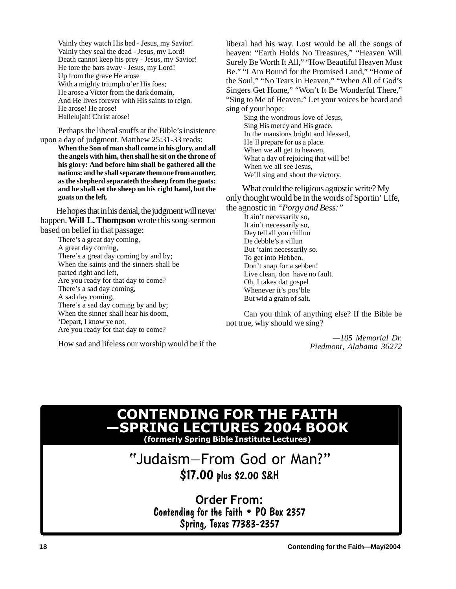Vainly they watch His bed - Jesus, my Savior! Vainly they seal the dead - Jesus, my Lord! Death cannot keep his prey - Jesus, my Savior! He tore the bars away - Jesus, my Lord! Up from the grave He arose With a mighty triumph o'er His foes; He arose a Victor from the dark domain, And He lives forever with His saints to reign. He arose! He arose! Hallelujah! Christ arose!

Perhaps the liberal snuffs at the Bible's insistence upon a day of judgment. Matthew 25:31-33 reads:

**When the Son of man shall come in his glory, and all the angels with him, then shall he sit on the throne of his glory: And before him shall be gathered all the nations: and he shall separate them one from another, as the shepherd separateth the sheep from the goats: and he shall set the sheep on his right hand, but the goats on the left.**

He hopes that in his denial, the judgment will never happen. **Will L. Thompson** wrote this song-sermon based on belief in that passage:

There's a great day coming, A great day coming, There's a great day coming by and by; When the saints and the sinners shall be parted right and left, Are you ready for that day to come? There's a sad day coming, A sad day coming, There's a sad day coming by and by; When the sinner shall hear his doom, 'Depart, I know ye not, Are you ready for that day to come?

How sad and lifeless our worship would be if the

liberal had his way. Lost would be all the songs of heaven: "Earth Holds No Treasures," "Heaven Will Surely Be Worth It All," "How Beautiful Heaven Must Be." "I Am Bound for the Promised Land," "Home of the Soul," "No Tears in Heaven," "When All of God's Singers Get Home," "Won't It Be Wonderful There," "Sing to Me of Heaven." Let your voices be heard and sing of your hope:

Sing the wondrous love of Jesus, Sing His mercy and His grace. In the mansions bright and blessed, He'll prepare for us a place. When we all get to heaven, What a day of rejoicing that will be! When we all see Jesus, We'll sing and shout the victory.

What could the religious agnostic write? My only thought would be in the words of Sportin' Life, the agnostic in *"Porgy and Bess:"*

It ain't necessarily so, It ain't necessarily so, Dey tell all you chillun De debble's a villun But 'taint necessarily so. To get into Hebben, Don't snap for a sebben! Live clean, don have no fault. Oh, I takes dat gospel Whenever it's pos'ble But wid a grain of salt.

Can you think of anything else? If the Bible be not true, why should we sing?

> *—105 Memorial Dr. Piedmont, Alabama 36272*

## **CONTENDING FOR THE FAITH** —SPRING LECTURES 2004 BOOK (formerly Spring Bible Institute Lectures)

## "Judaism-From God or Man?" \$17.00 plus \$2.00 S&H

Order From: Contending for the Faith . PO Box 2357 Spring, Texas 77383-2357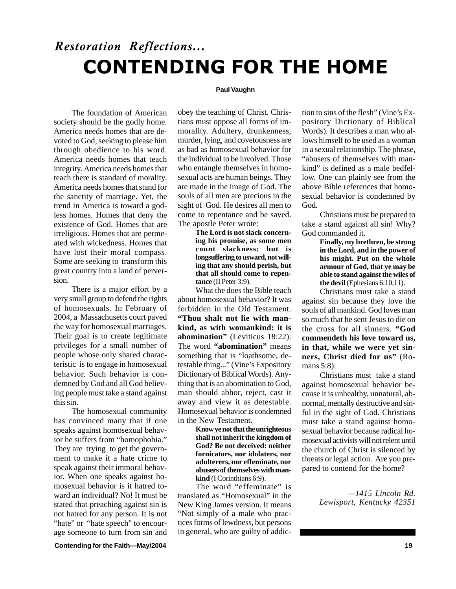## **Restoration Reflections... CONTENDING FOR THE HOME**

## **Paul Vaughn**

The foundation of American society should be the godly home. America needs homes that are devoted to God, seeking to please him through obedience to his word. America needs homes that teach integrity. America needs homes that teach there is standard of morality. America needs homes that stand for the sanctity of marriage. Yet, the trend in America is toward a godless homes. Homes that deny the existence of God. Homes that are irreligious. Homes that are permeated with wickedness. Homes that have lost their moral compass. Some are seeking to transform this great country into a land of perversion.

There is a major effort by a very small group to defend the rights of homosexuals. In February of 2004, a Massachusetts court paved the way for homosexual marriages. Their goal is to create legitimate privileges for a small number of people whose only shared characteristic is to engage in homosexual behavior. Such behavior is condemned by God and all God believing people must take a stand against this sin.

The homosexual community has convinced many that if one speaks against homosexual behavior he suffers from "homophobia." They are trying to get the government to make it a hate crime to speak against their immoral behavior. When one speaks against homosexual behavior is it hatred toward an individual? No! It must be stated that preaching against sin is not hatred for any person. It is not "hate" or "hate speech" to encourage someone to turn from sin and obey the teaching of Christ. Christians must oppose all forms of immorality. Adultery, drunkenness, murder, lying, and covetousness are as bad as homosexual behavior for the individual to be involved. Those who entangle themselves in homosexual acts are human beings. They are made in the image of God. The souls of all men are precious in the sight of God. He desires all men to come to repentance and be saved. The apostle Peter wrote:

> **The Lord is not slack concerning his promise, as some men count slackness; but is longsuffering to usward, not willing that any should perish, but that all should come to repentance** (II Peter 3:9).

What the does the Bible teach about homosexual behavior? It was forbidden in the Old Testament. **"Thou shalt not lie with mankind, as with womankind: it is abomination"** (Leviticus 18:22). The word **"abomination"** means something that is "loathsome, detestable thing..." (Vine's Expository Dictionary of Biblical Words). Anything that is an abomination to God, man should abhor, reject, cast it away and view it as detestable. Homosexual behavior is condemned in the New Testament.

> **Know ye not that the unrighteous shall not inherit the kingdom of God? Be not deceived: neither fornicators, nor idolaters, nor adulterers, nor effeminate, nor abusers of themselves with mankind** (I Corinthians 6:9).

The word "effeminate" is translated as "Homosexual" in the New King James version. It means "Not simply of a male who practices forms of lewdness, but persons in general, who are guilty of addiction to sins of the flesh" (Vine's Expository Dictionary of Biblical Words). It describes a man who allows himself to be used as a woman in a sexual relationship. The phrase, "abusers of themselves with mankind" is defined as a male bedfellow. One can plainly see from the above Bible references that homosexual behavior is condemned by God.

Christians must be prepared to take a stand against all sin! Why? God commanded it.

> **Finally, my brethren, be strong in the Lord, and in the power of his might. Put on the whole armour of God, that ye may be able to stand against the wiles of the devil** (Ephesians 6:10,11).

Christians must take a stand against sin because they love the souls of all mankind. God loves man so much that he sent Jesus to die on the cross for all sinners. **"God commendeth his love toward us, in that, while we were yet sinners, Christ died for us"** (Romans 5:8).

Christians must take a stand against homosexual behavior because it is unhealthy, unnatural, abnormal, mentally destructive and sinful in the sight of God. Christians must take a stand against homosexual behavior because radical homosexual activists will not relent until the church of Christ is silenced by threats or legal action. Are you prepared to contend for the home?

> *—1415 Lincoln Rd. Lewisport, Kentucky 42351*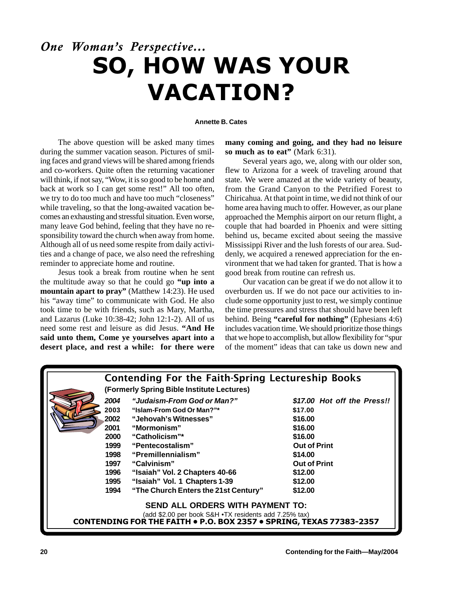## One Woman's Perspective... SO, HOW WAS YOUR VACATION?

## **Annette B. Cates**

The above question will be asked many times during the summer vacation season. Pictures of smiling faces and grand views will be shared among friends and co-workers. Quite often the returning vacationer will think, if not say, "Wow, it is so good to be home and back at work so I can get some rest!" All too often, we try to do too much and have too much "closeness" while traveling, so that the long-awaited vacation becomes an exhausting and stressful situation. Even worse, many leave God behind, feeling that they have no responsibility toward the church when away from home. Although all of us need some respite from daily activities and a change of pace, we also need the refreshing reminder to appreciate home and routine.

Jesus took a break from routine when he sent the multitude away so that he could go **"up into a mountain apart to pray"** (Matthew 14:23). He used his "away time" to communicate with God. He also took time to be with friends, such as Mary, Martha, and Lazarus (Luke 10:38-42; John 12:1-2). All of us need some rest and leisure as did Jesus. **"And He said unto them, Come ye yourselves apart into a desert place, and rest a while: for there were** **many coming and going, and they had no leisure so much as to eat"** (Mark 6:31).

Several years ago, we, along with our older son, flew to Arizona for a week of traveling around that state. We were amazed at the wide variety of beauty, from the Grand Canyon to the Petrified Forest to Chiricahua. At that point in time, we did not think of our home area having much to offer. However, as our plane approached the Memphis airport on our return flight, a couple that had boarded in Phoenix and were sitting behind us, became excited about seeing the massive Mississippi River and the lush forests of our area. Suddenly, we acquired a renewed appreciation for the environment that we had taken for granted. That is how a good break from routine can refresh us.

Our vacation can be great if we do not allow it to overburden us. If we do not pace our activities to include some opportunity just to rest, we simply continue the time pressures and stress that should have been left behind. Being **"careful for nothing"** (Ephesians 4:6) includes vacation time. We should prioritize those things that we hope to accomplish, but allow flexibility for "spur of the moment" ideas that can take us down new and

|                                                                                                                              | <b>Contending For the Faith-Spring Lectureship Books</b> |                                            |                             |  |  |  |
|------------------------------------------------------------------------------------------------------------------------------|----------------------------------------------------------|--------------------------------------------|-----------------------------|--|--|--|
|                                                                                                                              |                                                          | (Formerly Spring Bible Institute Lectures) |                             |  |  |  |
|                                                                                                                              | 2004                                                     | "Judaism-From God or Man?"                 | \$17.00 Hot off the Press!! |  |  |  |
|                                                                                                                              | 2003                                                     | "Islam-From God Or Man?"*                  | \$17.00                     |  |  |  |
|                                                                                                                              | 2002                                                     | "Jehovah's Witnesses"                      | \$16.00                     |  |  |  |
|                                                                                                                              | 2001                                                     | "Mormonism"                                | \$16.00                     |  |  |  |
|                                                                                                                              | 2000                                                     | "Catholicism"*                             | \$16.00                     |  |  |  |
|                                                                                                                              | 1999                                                     | "Pentecostalism"                           | <b>Out of Print</b>         |  |  |  |
|                                                                                                                              | 1998                                                     | "Premillennialism"                         | \$14.00                     |  |  |  |
|                                                                                                                              | 1997                                                     | "Calvinism"                                | <b>Out of Print</b>         |  |  |  |
|                                                                                                                              | 1996                                                     | "Isaiah" Vol. 2 Chapters 40-66             | \$12.00                     |  |  |  |
|                                                                                                                              | 1995                                                     | "Isaiah" Vol. 1 Chapters 1-39              | \$12.00                     |  |  |  |
|                                                                                                                              | 1994                                                     | "The Church Enters the 21st Century"       | \$12.00                     |  |  |  |
|                                                                                                                              |                                                          |                                            |                             |  |  |  |
| <b>SEND ALL ORDERS WITH PAYMENT TO:</b>                                                                                      |                                                          |                                            |                             |  |  |  |
| (add \$2.00 per book S&H .TX residents add 7.25% tax)<br>CONTENDING FOR THE FAITH . P.O. BOX 2357 . SPRING, TEXAS 77383-2357 |                                                          |                                            |                             |  |  |  |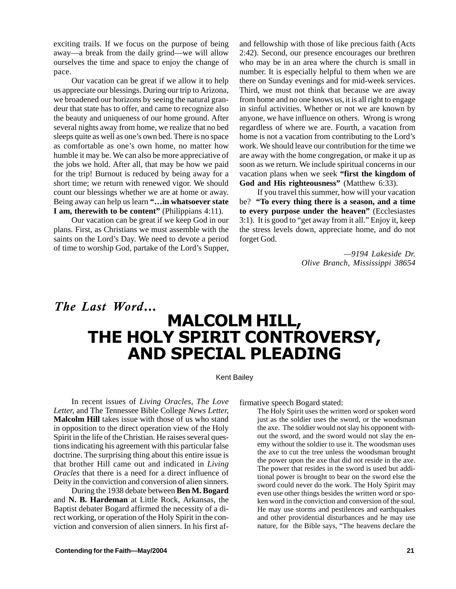exciting trails. If we focus on the purpose of being away—a break from the daily grind—we will allow ourselves the time and space to enjoy the change of pace.

Our vacation can be great if we allow it to help us appreciate our blessings. During our trip to Arizona, we broadened our horizons by seeing the natural grandeur that state has to offer, and came to recognize also the beauty and uniqueness of our home ground. After several nights away from home, we realize that no bed sleeps quite as well as one's own bed. There is no space as comfortable as one's own home, no matter how humble it may be. We can also be more appreciative of the jobs we hold. After all, that may be how we paid for the trip! Burnout is reduced by being away for a short time; we return with renewed vigor. We should count our blessings whether we are at home or away. Being away can help us learn **"…in whatsoever state I am, therewith to be content"** (Philippians 4:11).

Our vacation can be great if we keep God in our plans. First, as Christians we must assemble with the saints on the Lord's Day. We need to devote a period of time to worship God, partake of the Lord's Supper,

and fellowship with those of like precious faith (Acts 2:42). Second, our presence encourages our brethren who may be in an area where the church is small in number. It is especially helpful to them when we are there on Sunday evenings and for mid-week services. Third, we must not think that because we are away from home and no one knows us, it is all right to engage in sinful activities. Whether or not we are known by anyone, we have influence on others. Wrong is wrong regardless of where we are. Fourth, a vacation from home is not a vacation from contributing to the Lord's work. We should leave our contribution for the time we are away with the home congregation, or make it up as soon as we return. We include spiritual concerns in our vacation plans when we seek **"first the kingdom of God and His righteousness"** (Matthew 6:33).

If you travel this summer, how will your vacation be? **"To every thing there is a season, and a time to every purpose under the heaven"** (Ecclesiastes 3:1). It is good to "get away from it all." Enjoy it, keep the stress levels down, appreciate home, and do not forget God.

> *—9194 Lakeside Dr. Olive Branch, Mississippi 38654*

## The Last Word... MALCOLM HILL, THE HOLY SPIRIT CONTROVERSY, **AND SPECIAL PLEADING**

## Kent Bailey

In recent issues of *Living Oracles, The Love Letter,* and The Tennessee Bible College *News Letter,* **Malcolm Hill** takes issue with those of us who stand in opposition to the direct operation view of the Holy Spirit in the life of the Christian. He raises several questions indicating his agreement with this particular false doctrine. The surprising thing about this entire issue is that brother Hill came out and indicated in *Living Oracles* that there is a need for a direct influence of Deity in the conviction and conversion of alien sinners.

During the 1938 debate between **Ben M. Bogard** and **N. B. Hardeman** at Little Rock, Arkansas, the Baptist debater Bogard affirmed the necessity of a direct working, or operation of the Holy Spirit in the conviction and conversion of alien sinners. In his first affirmative speech Bogard stated:

The Holy Spirit uses the written word or spoken word just as the soldier uses the sword, or the woodsman the axe. The soldier would not slay his opponent without the sword, and the sword would not slay the enemy without the soldier to use it. The woodsman uses the axe to cut the tree unless the woodsman brought the power upon the axe that did not reside in the axe. The power that resides in the sword is used but additional power is brought to bear on the sword else the sword could never do the work. The Holy Spirit may even use other things besides the written word or spoken word in the conviction and conversion of the soul. He may use storms and pestilences and earthquakes and other providential disturbances and he may use nature, for the Bible says, "The heavens declare the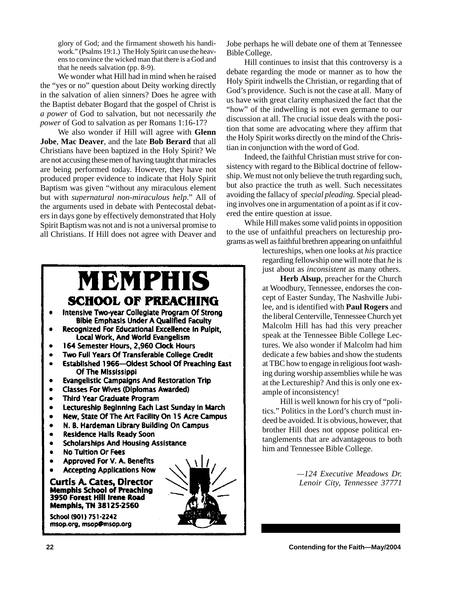glory of God; and the firmament showeth his handiwork." (Psalms 19:1.) The Holy Spirit can use the heavens to convince the wicked man that there is a God and that he needs salvation (pp. 8-9).

We wonder what Hill had in mind when he raised the "yes or no" question about Deity working directly in the salvation of alien sinners? Does he agree with the Baptist debater Bogard that the gospel of Christ is *a power* of God to salvation, but not necessarily *the power* of God to salvation as per Romans 1:16-17?

We also wonder if Hill will agree with **Glenn Jobe**, **Mac Deaver**, and the late **Bob Berard** that all Christians have been baptized in the Holy Spirit? We are not accusing these men of having taught that miracles are being performed today. However, they have not produced proper evidence to indicate that Holy Spirit Baptism was given "without any miraculous element but with *supernatural non-miraculous help*." All of the arguments used in debate with Pentecostal debaters in days gone by effectively demonstrated that Holy Spirit Baptism was not and is not a universal promise to all Christians. If Hill does not agree with Deaver and

## MBMPHIS **SCHOOL OF PREACHING**

- Intensive Two-year Collegiate Program Of Strong **Bible Emphasis Under A Qualified Faculty**
- Recognized For Educational Excellence In Pulpit. Local Work, And World Evangelism
- 164 Semester Hours, 2,960 Clock Hours
- Two Full Years Of Transferable College Credit
- Established 1966-Oldest School Of Preaching East Of The Mississippi
- **Evangelistic Campaigns And Restoration Trip**
- **Classes For Wives (Diplomas Awarded)**  $\bullet$
- **Third Year Graduate Program**
- Lectureship Beginning Each Last Sunday In March  $\bullet$
- New, State Of The Art Facility On 15 Acre Campus  $\bullet$
- N. B. Hardeman Library Building On Campus  $\bullet$
- **Residence Halls Ready Soon**  $\bullet$
- **Scholarships And Housing Assistance**  $\bullet$
- **No Tultion Or Fees**  $\bullet$
- Approved For V. A. Benefits
- **Accepting Applications Now**

**Curtis A. Cates, Director Memphis School of Preaching** 3950 Forest Hill Irene Road **Memphis, TN 38125-2560** 

School (901) 751-2242 msop.org, msop@msop.org



Jobe perhaps he will debate one of them at Tennessee Bible College.

Hill continues to insist that this controversy is a debate regarding the mode or manner as to how the Holy Spirit indwells the Christian, or regarding that of God's providence. Such is not the case at all. Many of us have with great clarity emphasized the fact that the "how" of the indwelling is not even germane to our discussion at all. The crucial issue deals with the position that some are advocating where they affirm that the Holy Spirit works directly on the mind of the Christian in conjunction with the word of God.

Indeed, the faithful Christian must strive for consistency with regard to the Biblical doctrine of fellowship. We must not only believe the truth regarding such, but also practice the truth as well. Such necessitates avoiding the fallacy of *special pleading.* Special pleading involves one in argumentation of a point as if it covered the entire question at issue.

While Hill makes some valid points in opposition to the use of unfaithful preachers on lectureship programs as well as faithful brethren appearing on unfaithful

> lectureships, when one looks at *his* practice regarding fellowship one will note that *he* is just about as *inconsistent* as many others.

> **Herb Alsup**, preacher for the Church at Woodbury, Tennessee, endorses the concept of Easter Sunday, The Nashville Jubilee, and is identified with **Paul Rogers** and the liberal Centerville, Tennessee Church yet Malcolm Hill has had this very preacher speak at the Tennessee Bible College Lectures. We also wonder if Malcolm had him dedicate a few babies and show the students at TBC how to engage in religious foot washing during worship assemblies while he was at the Lectureship? And this is only one example of inconsistency!

> Hill is well known for his cry of "politics." Politics in the Lord's church must indeed be avoided. It is obvious, however, that brother Hill does not oppose political entanglements that are advantageous to both him and Tennessee Bible College.

> > *—124 Executive Meadows Dr. Lenoir City, Tennessee 37771*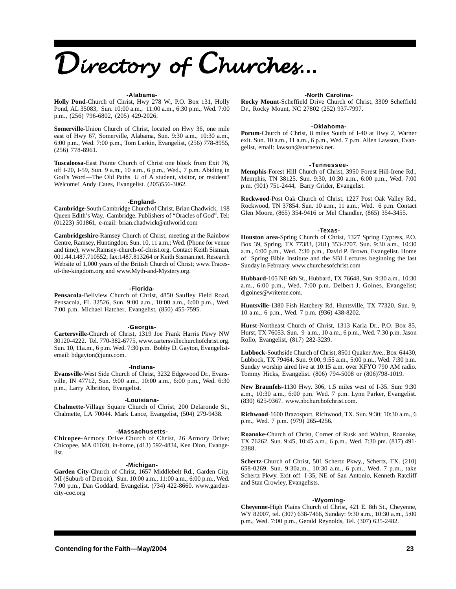# Directory of Churches...

#### **-Alabama-**

**Holly Pond-**Church of Christ, Hwy 278 W., P.O. Box 131, Holly Pond, AL 35083, Sun. 10:00 a.m., 11:00 a.m., 6:30 p.m., Wed. 7:00 p.m., (256) 796-6802, (205) 429-2026.

**Somerville-**Union Church of Christ, located on Hwy 36, one mile east of Hwy 67, Somerville, Alabama, Sun. 9:30 a.m., 10:30 a.m., 6:00 p.m., Wed. 7:00 p.m., Tom Larkin, Evangelist, (256) 778-8955, (256) 778-8961.

**Tuscaloosa**-East Pointe Church of Christ one block from Exit 76, off I-20, I-59, Sun. 9 a.m., 10 a.m., 6 p.m., Wed., 7 p.m. Abiding in God's Word—The Old Paths. U of A student, visitor, or resident? Welcome! Andy Cates, Evangelist. (205)556-3062.

#### **-England-**

**Cambridge-**South Cambridge Church of Christ, Brian Chadwick, 198 Queen Edith's Way, Cambridge. Publishers of "Oracles of God". Tel: (01223) 501861, e-mail: brian.chadwick@ntlworld.com

**Cambridgeshire-**Ramsey Church of Christ, meeting at the Rainbow Centre, Ramsey, Huntingdon. Sun. 10, 11 a.m.; Wed. (Phone for venue and time); www.Ramsey-church-of-christ.org. Contact Keith Sisman, 001.44.1487.710552; fax:1487.813264 or Keith Sisman.net. Research Website of 1,000 years of the British Church of Christ; www.Tracesof-the-kingdom.org and www.Myth-and-Mystery.org.

#### **-Florida-**

**Pensacola-**Bellview Church of Christ, 4850 Saufley Field Road, Pensacola, FL 32526, Sun. 9:00 a.m., 10:00 a.m., 6:00 p.m., Wed. 7:00 p.m. Michael Hatcher, Evangelist, (850) 455-7595.

### **-Georgia-**

**Cartersville**-Church of Christ, 1319 Joe Frank Harris Pkwy NW 30120-4222. Tel. 770-382-6775, www.cartersvillechurchofchrist.org. Sun. 10, 11a.m., 6 p.m. Wed. 7:30 p.m. Bobby D. Gayton, Evangelistemail: bdgayton@juno.com.

#### **-Indiana-**

**Evansville**-West Side Church of Christ, 3232 Edgewood Dr., Evansville, IN 47712, Sun. 9:00 a.m., 10:00 a.m., 6:00 p.m., Wed. 6:30 p.m., Larry Albritton, Evangelist.

## **-Louisiana-**

**Chalmette**-Village Square Church of Christ, 200 Delaronde St., Chalmette, LA 70044. Mark Lance, Evangelist, (504) 279-9438.

### **-Massachusetts-**

**Chicopee**-Armory Drive Church of Christ, 26 Armory Drive; Chicopee, MA 01020, in-home, (413) 592-4834, Ken Dion, Evangelist.

### **-Michigan-**

**Garden City**-Church of Christ, 1657 Middlebelt Rd., Garden City, MI (Suburb of Detroit), Sun. 10:00 a.m., 11:00 a.m., 6:00 p.m., Wed. 7:00 p.m., Dan Goddard, Evangelist. (734) 422-8660. www.gardencity-coc.org

### **-North Carolina-**

**Rocky Mount**-Scheffield Drive Church of Christ, 3309 Scheffield Dr., Rocky Mount, NC 27802 (252) 937-7997.

#### **-Oklahoma-**

**Porum**-Church of Christ, 8 miles South of I-40 at Hwy 2, Warner exit. Sun. 10 a.m., 11 a.m., 6 p.m., Wed. 7 p.m. Allen Lawson, Evangelist, email: lawson@starnetok.net.

#### **-Tennessee-**

**Memphis**-Forest Hill Church of Christ, 3950 Forest Hill-Irene Rd., Memphis, TN 38125. Sun. 9:30, 10:30 a.m., 6:00 p.m., Wed. 7:00 p.m. (901) 751-2444, Barry Grider, Evangelist.

**Rockwood**-Post Oak Church of Christ, 1227 Post Oak Valley Rd., Rockwood, TN 37854. Sun. 10 a.m., 11 a.m., Wed. 6 p.m. Contact Glen Moore, (865) 354-9416 or Mel Chandler, (865) 354-3455.

#### **-Texas-**

**Houston area**-Spring Church of Christ, 1327 Spring Cypress, P.O. Box 39, Spring, TX 77383, (281) 353-2707. Sun. 9:30 a.m., 10:30 a.m., 6:00 p.m., Wed. 7:30 p.m., David P. Brown, Evangelist. Home of Spring Bible Institute and the SBI Lectures beginning the last Sunday in February. www.churchesofchrist.com

**Hubbard-**105 NE 6th St., Hubbard, TX 76648, Sun. 9:30 a.m., 10:30 a.m., 6:00 p.m., Wed. 7:00 p.m. Delbert J. Goines, Evangelist; djgoines@writeme.com.

**Huntsville**-1380 Fish Hatchery Rd. Huntsville, TX 77320. Sun. 9, 10 a.m., 6 p.m., Wed. 7 p.m. (936) 438-8202.

**Hurst**-Northeast Church of Christ, 1313 Karla Dr., P.O. Box 85, Hurst, TX 76053. Sun. 9 a.m., 10 a.m., 6 p.m., Wed. 7:30 p.m. Jason Rollo, Evangelist, (817) 282-3239.

**Lubbock**-Southside Church of Christ, 8501 Quaker Ave., Box 64430, Lubbock, TX 79464. Sun. 9:00, 9:55 a.m., 5:00 p.m., Wed. 7:30 p.m. Sunday worship aired live at 10:15 a.m. over KFYO 790 AM radio. Tommy Hicks, Evangelist. (806) 794-5008 or (806)798-1019.

**New Braunfels-**1130 Hwy. 306, 1.5 miles west of I-35. Sun: 9:30 a.m., 10:30 a.m., 6:00 p.m. Wed. 7 p.m. Lynn Parker, Evangelist. (830) 625-9367. www.nbchurchofchrist.com.

**Richwood**-1600 Brazosport, Richwood, TX. Sun. 9:30; 10:30 a.m., 6 p.m., Wed. 7 p.m. (979) 265-4256.

**Roanoke**-Church of Christ, Corner of Rusk and Walnut, Roanoke, TX 76262. Sun. 9:45, 10:45 a.m., 6 p.m., Wed. 7:30 pm. (817) 491- 2388.

**Schertz**-Church of Christ, 501 Schertz Pkwy., Schertz, TX. (210) 658-0269. Sun. 9:30a.m., 10:30 a.m., 6 p.m., Wed. 7 p.m., take Schertz Pkwy. Exit off I-35, NE of San Antonio, Kenneth Ratcliff and Stan Crowley, Evangelists.

### **-Wyoming-**

**Cheyenne**-High Plains Church of Christ, 421 E. 8th St., Cheyenne, WY 82007, tel. (307) 638-7466, Sunday: 9:30 a.m., 10:30 a.m., 5:00 p.m., Wed. 7:00 p.m., Gerald Reynolds, Tel. (307) 635-2482.